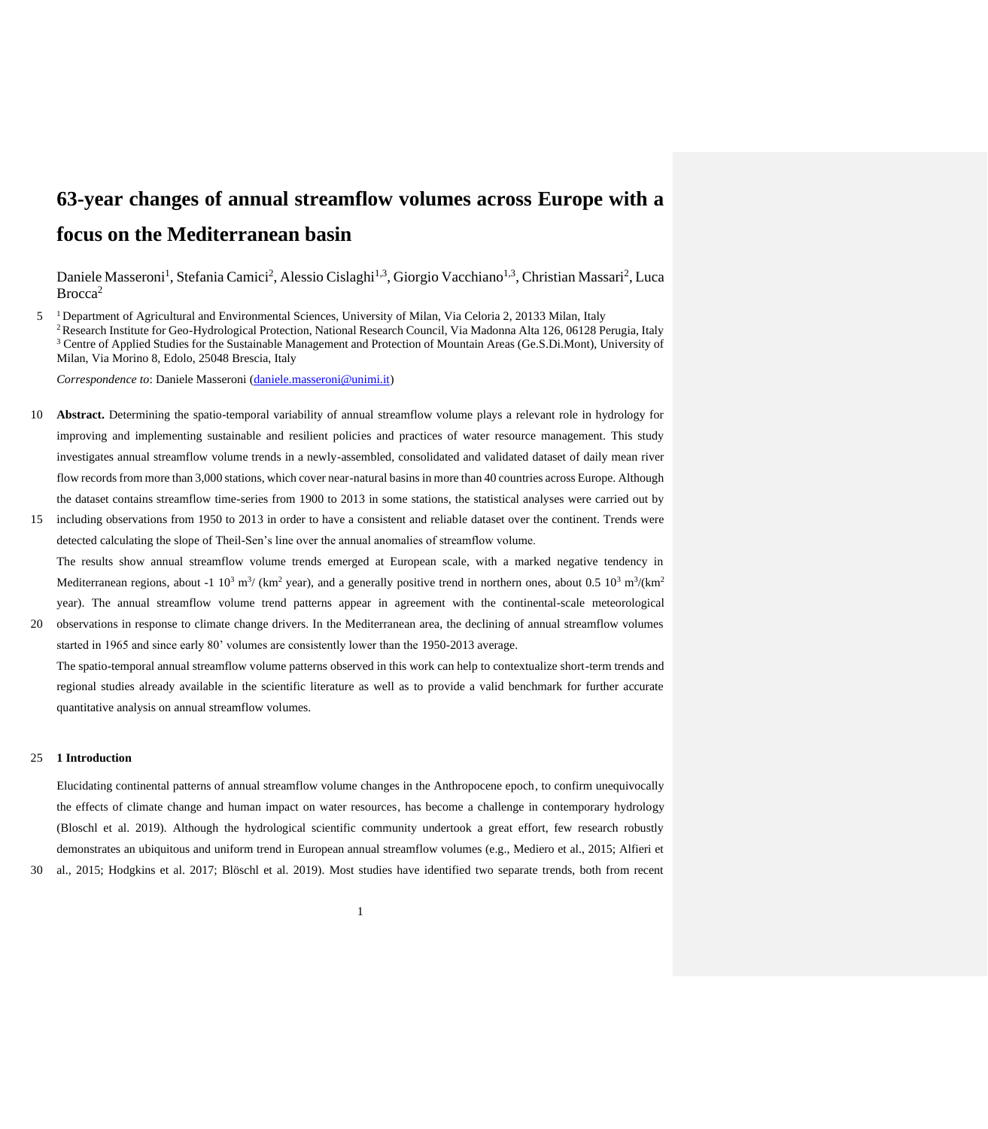# **63-year changes of annual streamflow volumes across Europe with a focus on the Mediterranean basin**

Daniele Masseroni<sup>1</sup>, Stefania Camici<sup>2</sup>, Alessio Cislaghi<sup>1,3</sup>, Giorgio Vacchiano<sup>1,3</sup>, Christian Massari<sup>2</sup>, Luca Brocca<sup>2</sup>

5 <sup>1</sup> Department of Agricultural and Environmental Sciences, University of Milan, Via Celoria 2, 20133 Milan, Italy <sup>2</sup> Research Institute for Geo-Hydrological Protection, National Research Council, Via Madonna Alta 126, 06128 Perugia, Italy <sup>3</sup> Centre of Applied Studies for the Sustainable Management and Protection of Mountain Areas (Ge.S.Di.Mont), University of Milan, Via Morino 8, Edolo, 25048 Brescia, Italy

*Correspondence to*: Daniele Masseroni [\(daniele.masseroni@unimi.it\)](mailto:daniele.masseroni@unimi.it)

- 10 **Abstract.** Determining the spatio-temporal variability of annual streamflow volume plays a relevant role in hydrology for improving and implementing sustainable and resilient policies and practices of water resource management. This study investigates annual streamflow volume trends in a newly-assembled, consolidated and validated dataset of daily mean river flow records from more than 3,000 stations, which cover near-natural basins in more than 40 countries across Europe. Although the dataset contains streamflow time-series from 1900 to 2013 in some stations, the statistical analyses were carried out by
- 15 including observations from 1950 to 2013 in order to have a consistent and reliable dataset over the continent. Trends were detected calculating the slope of Theil-Sen's line over the annual anomalies of streamflow volume. The results show annual streamflow volume trends emerged at European scale, with a marked negative tendency in Mediterranean regions, about -1  $10^3$  m<sup>3</sup>/ (km<sup>2</sup> year), and a generally positive trend in northern ones, about 0.5  $10^3$  m<sup>3</sup>/(km<sup>2</sup>) year). The annual streamflow volume trend patterns appear in agreement with the continental-scale meteorological
- 20 observations in response to climate change drivers. In the Mediterranean area, the declining of annual streamflow volumes started in 1965 and since early 80' volumes are consistently lower than the 1950-2013 average.

The spatio-temporal annual streamflow volume patterns observed in this work can help to contextualize short-term trends and regional studies already available in the scientific literature as well as to provide a valid benchmark for further accurate quantitative analysis on annual streamflow volumes.

## 25 **1 Introduction**

Elucidating continental patterns of annual streamflow volume changes in the Anthropocene epoch, to confirm unequivocally the effects of climate change and human impact on water resources, has become a challenge in contemporary hydrology (Bloschl et al. 2019). Although the hydrological scientific community undertook a great effort, few research robustly demonstrates an ubiquitous and uniform trend in European annual streamflow volumes (e.g., Mediero et al., 2015; Alfieri et

30 al., 2015; Hodgkins et al. 2017; Blöschl et al. 2019). Most studies have identified two separate trends, both from recent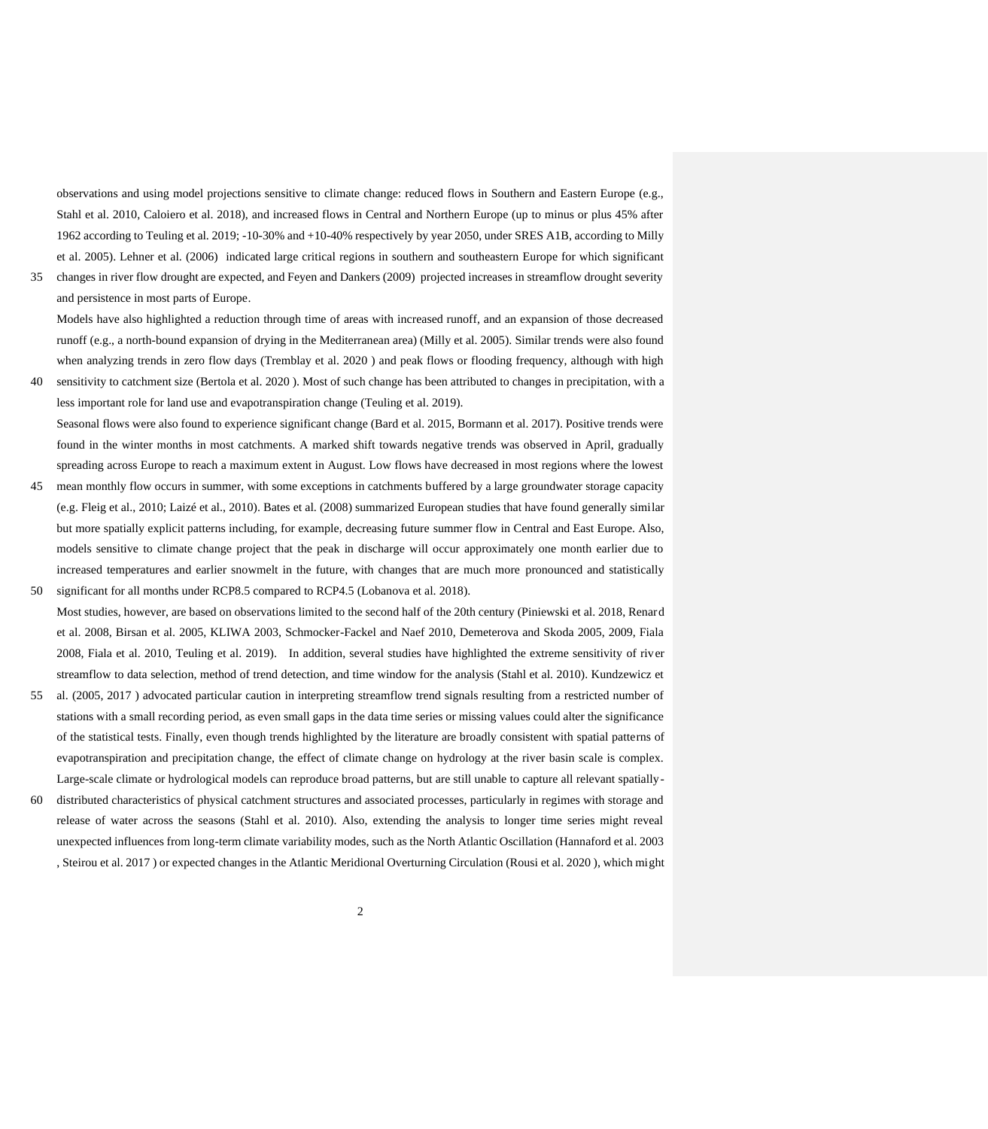observations and using model projections sensitive to climate change: reduced flows in Southern and Eastern Europe (e.g., Stahl et al. 2010, Caloiero et al. 2018), and increased flows in Central and Northern Europe (up to minus or plus 45% after 1962 according to Teuling et al. 2019; -10-30% and +10-40% respectively by year 2050, under SRES A1B, according to Milly et al. 2005). Lehner et al. (2006) indicated large critical regions in southern and southeastern Europe for which significant

35 changes in river flow drought are expected, and Feyen and Dankers (2009) projected increases in streamflow drought severity and persistence in most parts of Europe.

Models have also highlighted a reduction through time of areas with increased runoff, and an expansion of those decreased runoff (e.g., a north-bound expansion of drying in the Mediterranean area) (Milly et al. 2005). Similar trends were also found when analyzing trends in zero flow days (Tremblay et al. 2020 ) and peak flows or flooding frequency, although with high

40 sensitivity to catchment size (Bertola et al. 2020 ). Most of such change has been attributed to changes in precipitation, with a less important role for land use and evapotranspiration change (Teuling et al. 2019). Seasonal flows were also found to experience significant change (Bard et al. 2015, Bormann et al. 2017). Positive trends were

found in the winter months in most catchments. A marked shift towards negative trends was observed in April, gradually spreading across Europe to reach a maximum extent in August. Low flows have decreased in most regions where the lowest 45 mean monthly flow occurs in summer, with some exceptions in catchments buffered by a large groundwater storage capacity

- (e.g. Fleig et al., 2010; Laizé et al., 2010). Bates et al. (2008) summarized European studies that have found generally similar but more spatially explicit patterns including, for example, decreasing future summer flow in Central and East Europe. Also, models sensitive to climate change project that the peak in discharge will occur approximately one month earlier due to increased temperatures and earlier snowmelt in the future, with changes that are much more pronounced and statistically 50 significant for all months under RCP8.5 compared to RCP4.5 (Lobanova et al. 2018).
- Most studies, however, are based on observations limited to the second half of the 20th century (Piniewski et al. 2018, Renard et al. 2008, Birsan et al. 2005, KLIWA 2003, Schmocker-Fackel and Naef 2010, Demeterova and Skoda 2005, 2009, Fiala 2008, Fiala et al. 2010, Teuling et al. 2019). In addition, several studies have highlighted the extreme sensitivity of river streamflow to data selection, method of trend detection, and time window for the analysis (Stahl et al. 2010). Kundzewicz et
- 55 al. (2005, 2017 ) advocated particular caution in interpreting streamflow trend signals resulting from a restricted number of stations with a small recording period, as even small gaps in the data time series or missing values could alter the significance of the statistical tests. Finally, even though trends highlighted by the literature are broadly consistent with spatial patterns of evapotranspiration and precipitation change, the effect of climate change on hydrology at the river basin scale is complex. Large-scale climate or hydrological models can reproduce broad patterns, but are still unable to capture all relevant spatially-
- 60 distributed characteristics of physical catchment structures and associated processes, particularly in regimes with storage and release of water across the seasons (Stahl et al. 2010). Also, extending the analysis to longer time series might reveal unexpected influences from long-term climate variability modes, such as the North Atlantic Oscillation (Hannaford et al. 2003 , Steirou et al. 2017 ) or expected changes in the Atlantic Meridional Overturning Circulation (Rousi et al. 2020 ), which might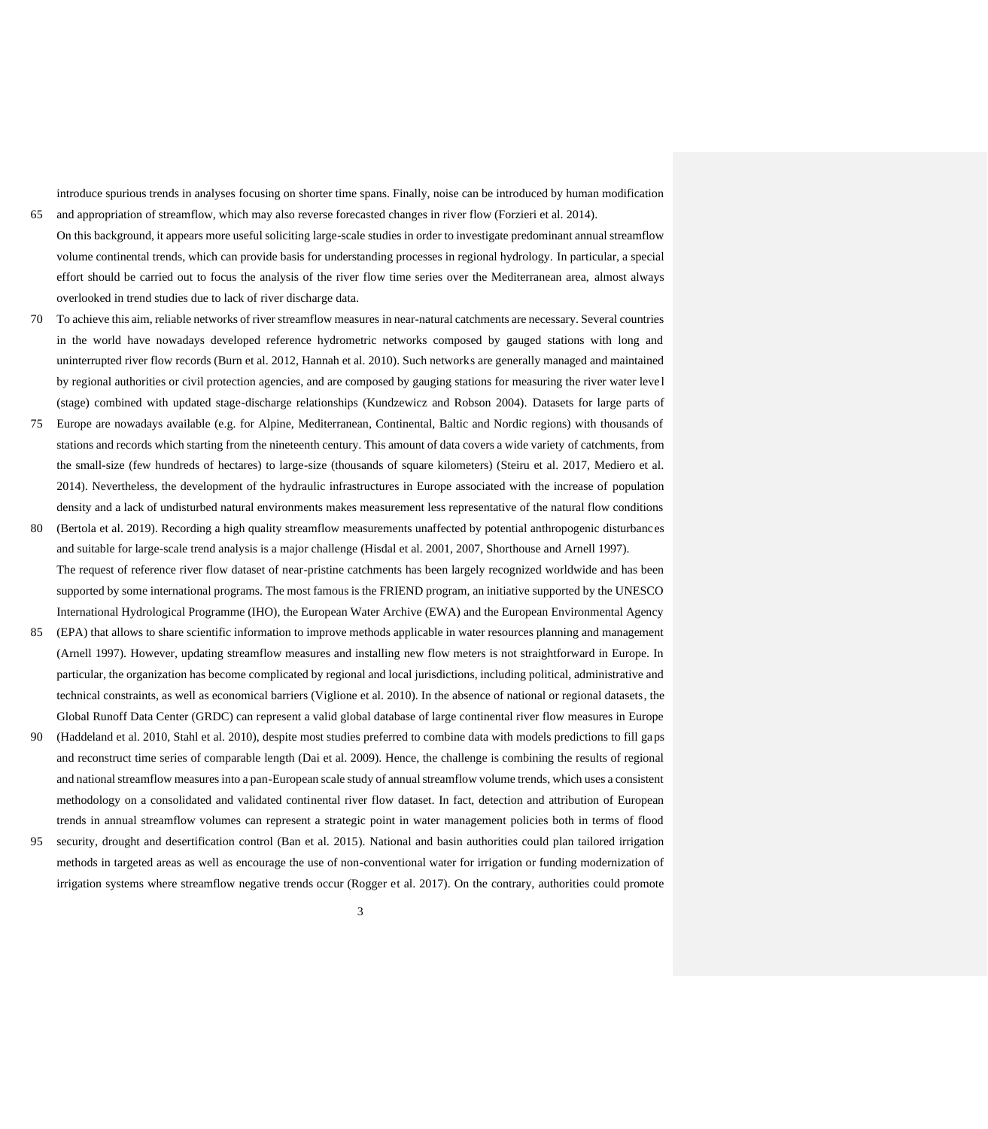introduce spurious trends in analyses focusing on shorter time spans. Finally, noise can be introduced by human modification 65 and appropriation of streamflow, which may also reverse forecasted changes in river flow (Forzieri et al. 2014).

- On this background, it appears more useful soliciting large-scale studies in order to investigate predominant annual streamflow volume continental trends, which can provide basis for understanding processes in regional hydrology. In particular, a special effort should be carried out to focus the analysis of the river flow time series over the Mediterranean area, almost always overlooked in trend studies due to lack of river discharge data.
- 70 To achieve this aim, reliable networks of river streamflow measures in near-natural catchments are necessary. Several countries in the world have nowadays developed reference hydrometric networks composed by gauged stations with long and uninterrupted river flow records (Burn et al. 2012, Hannah et al. 2010). Such networks are generally managed and maintained by regional authorities or civil protection agencies, and are composed by gauging stations for measuring the river water leve l (stage) combined with updated stage-discharge relationships (Kundzewicz and Robson 2004). Datasets for large parts of
- 75 Europe are nowadays available (e.g. for Alpine, Mediterranean, Continental, Baltic and Nordic regions) with thousands of stations and records which starting from the nineteenth century. This amount of data covers a wide variety of catchments, from the small-size (few hundreds of hectares) to large-size (thousands of square kilometers) (Steiru et al. 2017, Mediero et al. 2014). Nevertheless, the development of the hydraulic infrastructures in Europe associated with the increase of population density and a lack of undisturbed natural environments makes measurement less representative of the natural flow conditions
- 80 (Bertola et al. 2019). Recording a high quality streamflow measurements unaffected by potential anthropogenic disturbances and suitable for large-scale trend analysis is a major challenge (Hisdal et al. 2001, 2007, Shorthouse and Arnell 1997). The request of reference river flow dataset of near-pristine catchments has been largely recognized worldwide and has been supported by some international programs. The most famous is the FRIEND program, an initiative supported by the UNESCO International Hydrological Programme (IHO), the European Water Archive (EWA) and the European Environmental Agency
- 85 (EPA) that allows to share scientific information to improve methods applicable in water resources planning and management (Arnell 1997). However, updating streamflow measures and installing new flow meters is not straightforward in Europe. In particular, the organization has become complicated by regional and local jurisdictions, including political, administrative and technical constraints, as well as economical barriers (Viglione et al. 2010). In the absence of national or regional datasets, the Global Runoff Data Center (GRDC) can represent a valid global database of large continental river flow measures in Europe
- 90 (Haddeland et al. 2010, Stahl et al. 2010), despite most studies preferred to combine data with models predictions to fill gaps and reconstruct time series of comparable length (Dai et al. 2009). Hence, the challenge is combining the results of regional and national streamflow measures into a pan-European scale study of annual streamflow volume trends, which uses a consistent methodology on a consolidated and validated continental river flow dataset. In fact, detection and attribution of European trends in annual streamflow volumes can represent a strategic point in water management policies both in terms of flood
- 95 security, drought and desertification control (Ban et al. 2015). National and basin authorities could plan tailored irrigation methods in targeted areas as well as encourage the use of non-conventional water for irrigation or funding modernization of irrigation systems where streamflow negative trends occur (Rogger et al. 2017). On the contrary, authorities could promote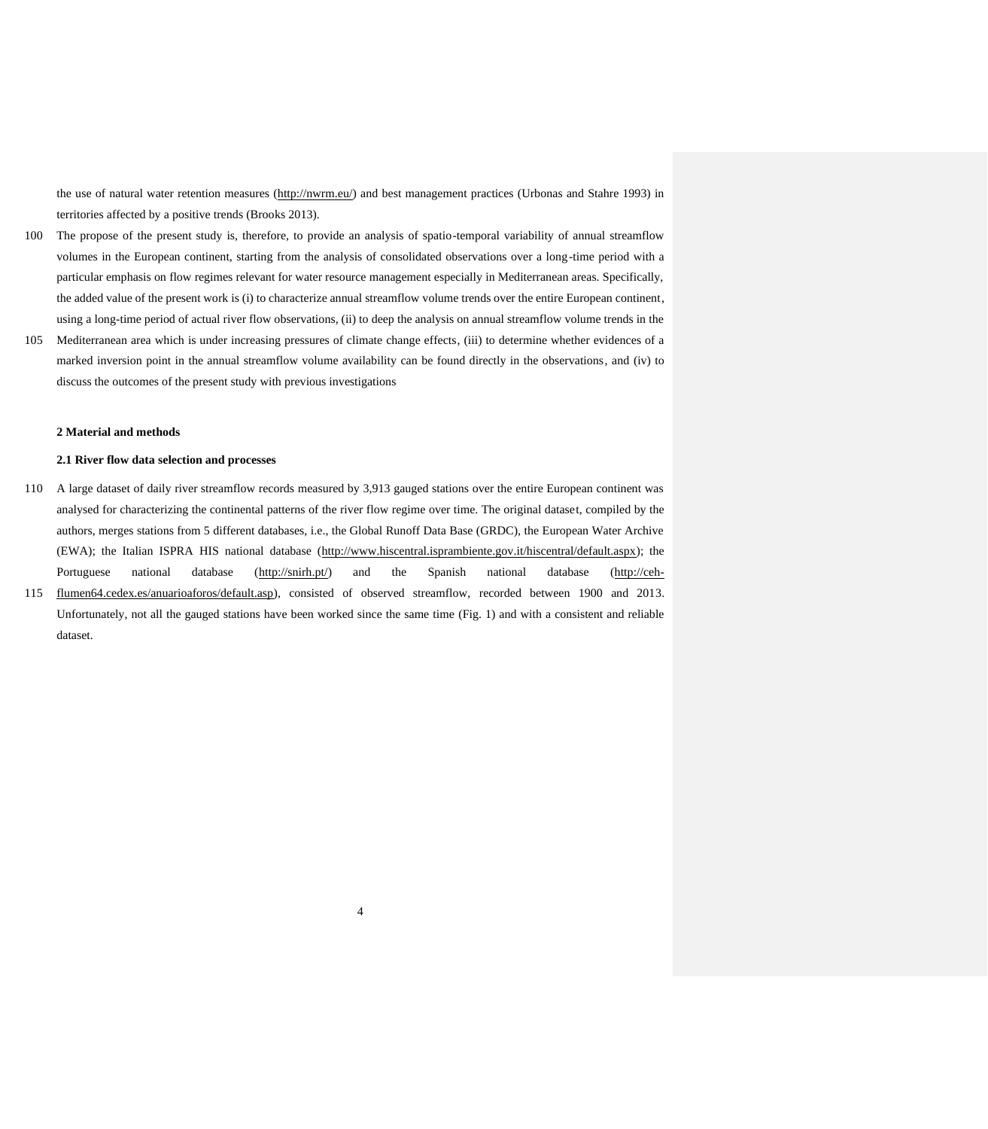the use of natural water retention measures [\(http://nwrm.eu/\)](http://nwrm.eu/) and best management practices (Urbonas and Stahre 1993) in territories affected by a positive trends (Brooks 2013).

- 100 The propose of the present study is, therefore, to provide an analysis of spatio-temporal variability of annual streamflow volumes in the European continent, starting from the analysis of consolidated observations over a long-time period with a particular emphasis on flow regimes relevant for water resource management especially in Mediterranean areas. Specifically, the added value of the present work is (i) to characterize annual streamflow volume trends over the entire European continent, using a long-time period of actual river flow observations, (ii) to deep the analysis on annual streamflow volume trends in the
- 105 Mediterranean area which is under increasing pressures of climate change effects, (iii) to determine whether evidences of a marked inversion point in the annual streamflow volume availability can be found directly in the observations, and (iv) to discuss the outcomes of the present study with previous investigations

#### **2 Material and methods**

# **2.1 River flow data selection and processes**

110 A large dataset of daily river streamflow records measured by 3,913 gauged stations over the entire European continent was analysed for characterizing the continental patterns of the river flow regime over time. The original dataset, compiled by the authors, merges stations from 5 different databases, i.e., the Global Runoff Data Base (GRDC), the European Water Archive (EWA); the Italian ISPRA HIS national database (http://www.hiscentral.isprambiente.gov.it/hiscentral/default.aspx); the Portuguese national database (http://snirh.pt/) and the Spanish national database (http://ceh-115 flumen64.cedex.es/anuarioaforos/default.asp), consisted of observed streamflow, recorded between 1900 and 2013. Unfortunately, not all the gauged stations have been worked since the same time (Fig. 1) and with a consistent and reliable dataset.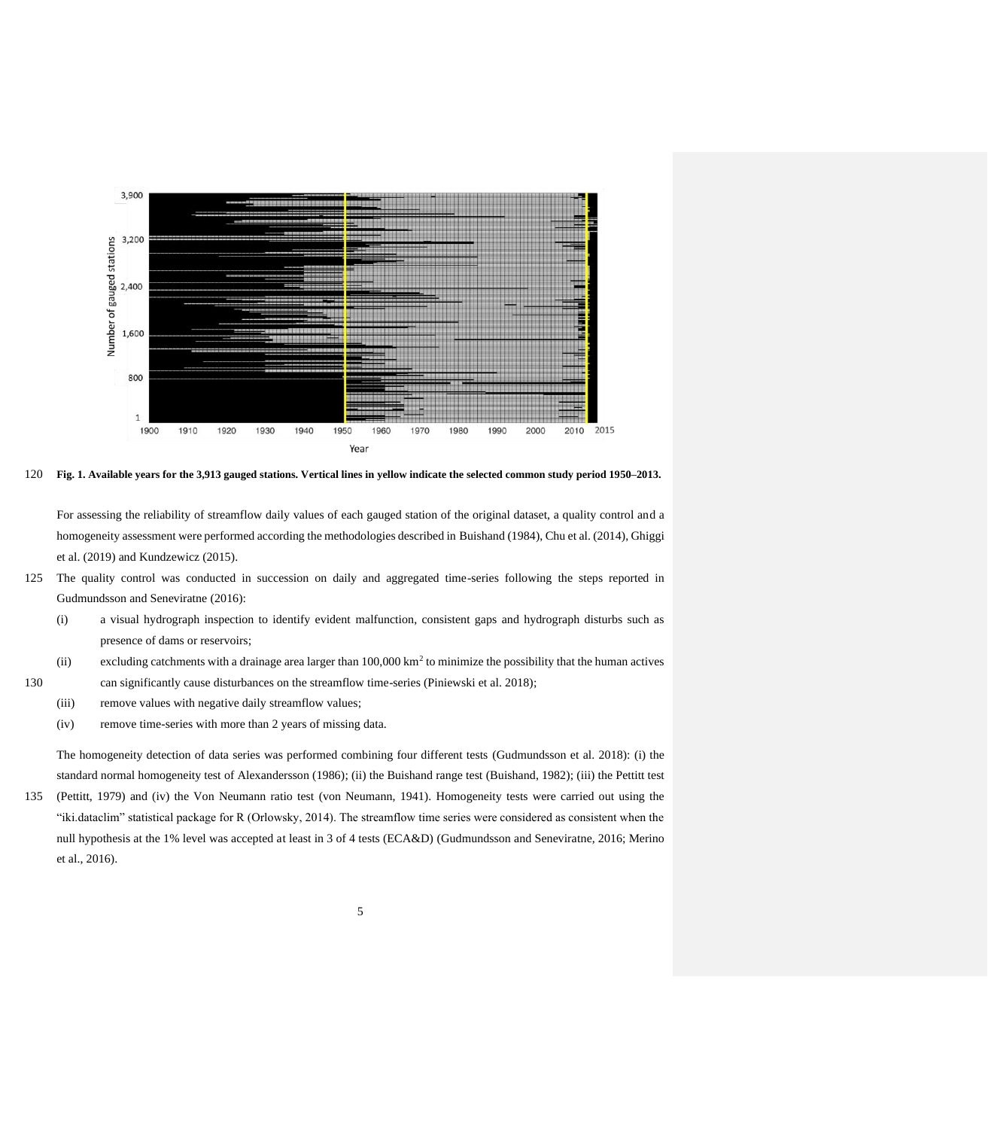

120 **Fig. 1. Available years for the 3,913 gauged stations. Vertical lines in yellow indicate the selected common study period 1950–2013.**

For assessing the reliability of streamflow daily values of each gauged station of the original dataset, a quality control and a homogeneity assessment were performed according the methodologies described in Buishand (1984), Chu et al. (2014), Ghiggi et al. (2019) and Kundzewicz (2015).

- 125 The quality control was conducted in succession on daily and aggregated time-series following the steps reported in Gudmundsson and Seneviratne (2016):
	- (i) a visual hydrograph inspection to identify evident malfunction, consistent gaps and hydrograph disturbs such as presence of dams or reservoirs;
	- (ii) excluding catchments with a drainage area larger than  $100,000 \text{ km}^2$  to minimize the possibility that the human actives
- 130 can significantly cause disturbances on the streamflow time-series (Piniewski et al. 2018);
	- (iii) remove values with negative daily streamflow values;
	- (iv) remove time-series with more than 2 years of missing data.

The homogeneity detection of data series was performed combining four different tests (Gudmundsson et al. 2018): (i) the standard normal homogeneity test of Alexandersson (1986); (ii) the Buishand range test (Buishand, 1982); (iii) the Pettitt test

135 (Pettitt, 1979) and (iv) the Von Neumann ratio test (von Neumann, 1941). Homogeneity tests were carried out using the "iki.dataclim" statistical package for R (Orlowsky, 2014). The streamflow time series were considered as consistent when the null hypothesis at the 1% level was accepted at least in 3 of 4 tests (ECA&D) (Gudmundsson and Seneviratne, 2016; Merino et al., 2016).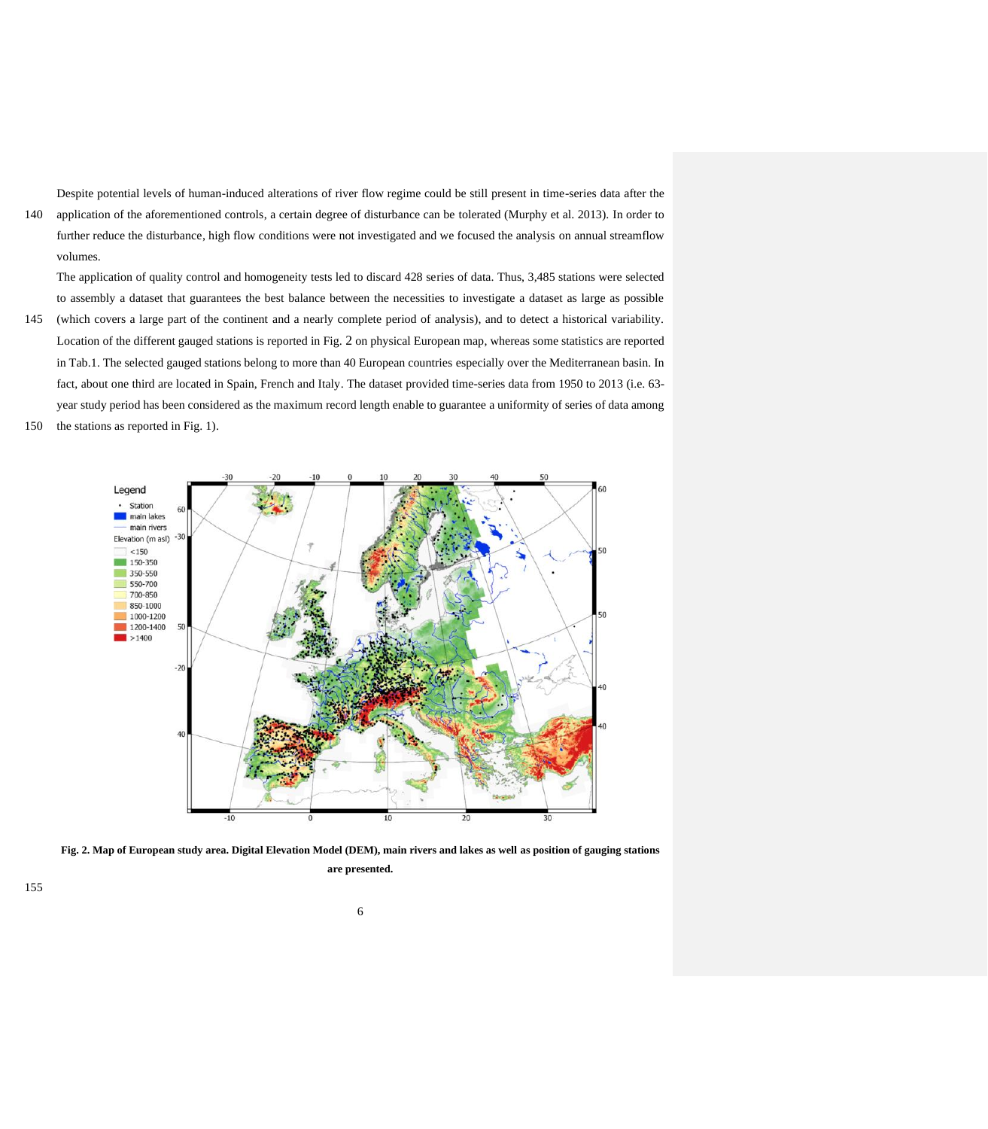Despite potential levels of human-induced alterations of river flow regime could be still present in time-series data after the 140 application of the aforementioned controls, a certain degree of disturbance can be tolerated (Murphy et al. 2013). In order to further reduce the disturbance, high flow conditions were not investigated and we focused the analysis on annual streamflow volumes.

The application of quality control and homogeneity tests led to discard 428 series of data. Thus, 3,485 stations were selected to assembly a dataset that guarantees the best balance between the necessities to investigate a dataset as large as possible

- 145 (which covers a large part of the continent and a nearly complete period of analysis), and to detect a historical variability. Location of the different gauged stations is reported in Fig. 2 on physical European map, whereas some statistics are reported in Tab.1. The selected gauged stations belong to more than 40 European countries especially over the Mediterranean basin. In fact, about one third are located in Spain, French and Italy. The dataset provided time-series data from 1950 to 2013 (i.e. 63 year study period has been considered as the maximum record length enable to guarantee a uniformity of series of data among
- 150 the stations as reported in Fig. 1).



**Fig. 2. Map of European study area. Digital Elevation Model (DEM), main rivers and lakes as well as position of gauging stations are presented.**

155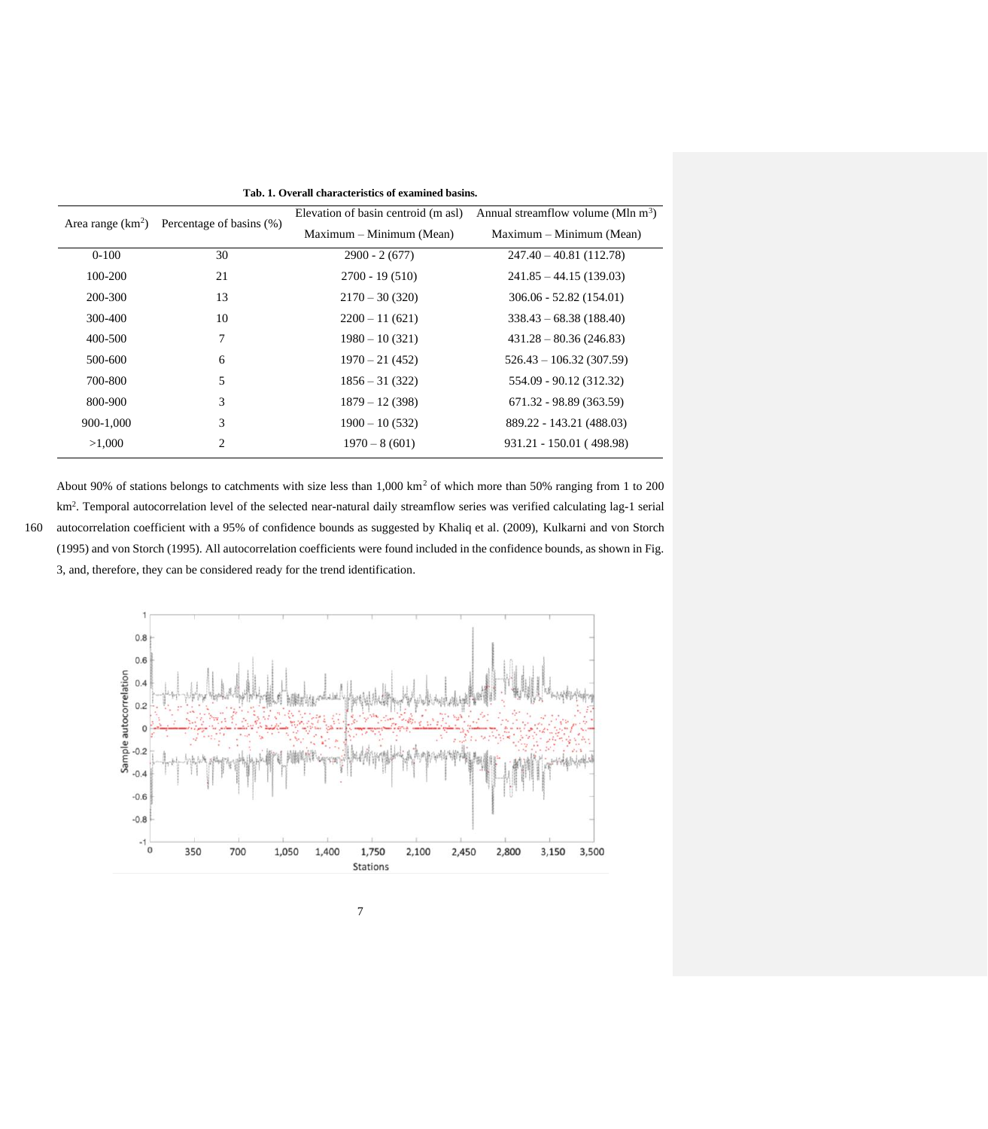| Area range $(km^2)$ | Percentage of basins (%) | Elevation of basin centroid (m asl) | Annual streamflow volume (Mln $m^3$ ) |
|---------------------|--------------------------|-------------------------------------|---------------------------------------|
|                     | Maximum – Minimum (Mean) |                                     | Maximum – Minimum (Mean)              |
| $0-100$             | 30                       | $2900 - 2(677)$                     | $247.40 - 40.81(112.78)$              |
| 100-200             | 21                       | $2700 - 19(510)$                    | $241.85 - 44.15(139.03)$              |
| 200-300             | 13                       | $2170 - 30(320)$                    | $306.06 - 52.82(154.01)$              |
| 300-400             | 10                       | $2200 - 11(621)$                    | $338.43 - 68.38(188.40)$              |
| 400-500             | 7                        | $1980 - 10(321)$                    | $431.28 - 80.36(246.83)$              |
| 500-600             | 6                        | $1970 - 21(452)$                    | $526.43 - 106.32(307.59)$             |
| 700-800             | 5                        | $1856 - 31(322)$                    | 554.09 - 90.12 (312.32)               |
| 800-900             | 3                        | $1879 - 12(398)$                    | 671.32 - 98.89 (363.59)               |
| 900-1,000           | 3                        | $1900 - 10(532)$                    | 889.22 - 143.21 (488.03)              |
| >1,000              | 2                        | $1970 - 8(601)$                     | 931.21 - 150.01 (498.98)              |

**Tab. 1. Overall characteristics of examined basins.** 

About 90% of stations belongs to catchments with size less than 1,000 km<sup>2</sup> of which more than 50% ranging from 1 to 200 km<sup>2</sup> . Temporal autocorrelation level of the selected near-natural daily streamflow series was verified calculating lag-1 serial 160 autocorrelation coefficient with a 95% of confidence bounds as suggested by Khaliq et al. (2009), Kulkarni and von Storch (1995) and von Storch (1995). All autocorrelation coefficients were found included in the confidence bounds, as shown in Fig. 3, and, therefore, they can be considered ready for the trend identification.

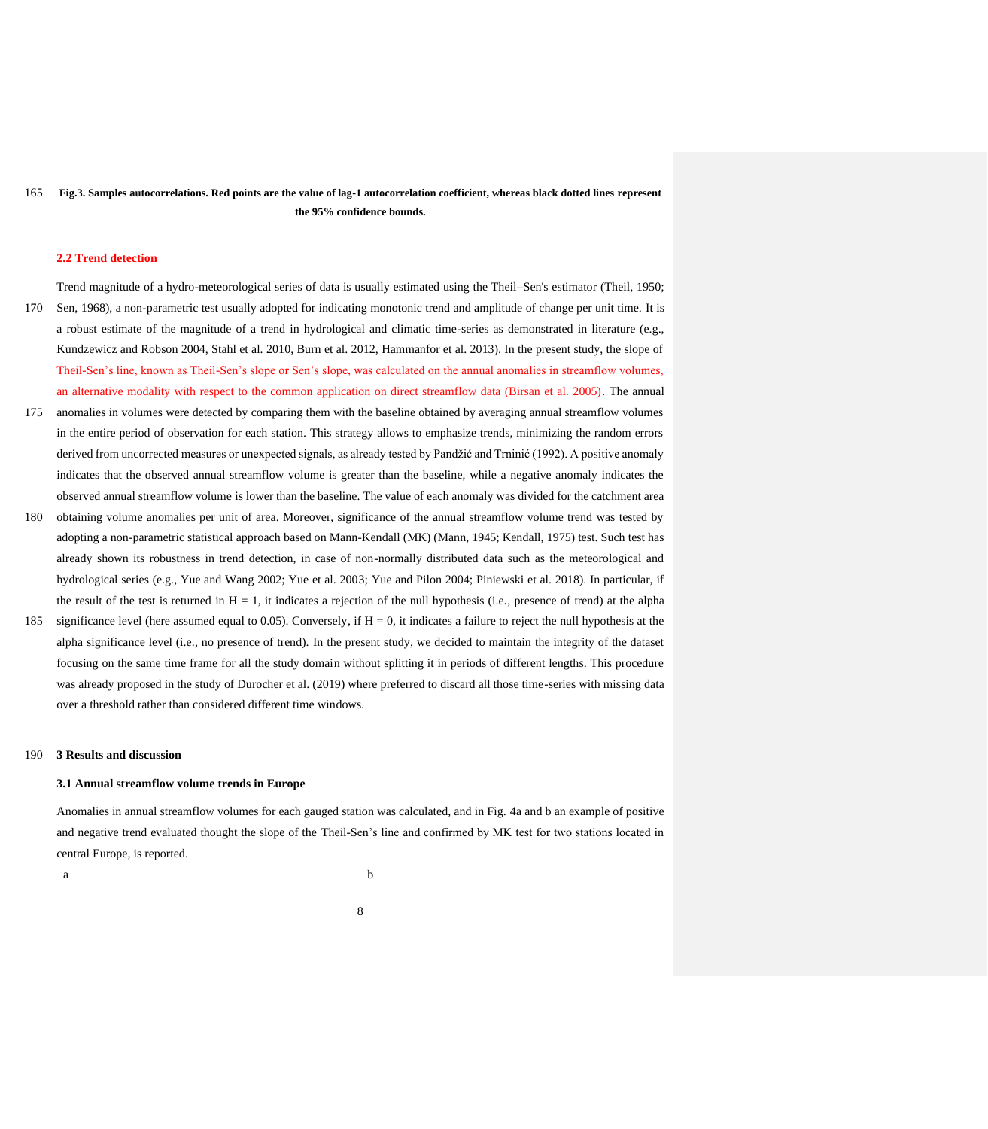165 **Fig.3. Samples autocorrelations. Red points are the value of lag-1 autocorrelation coefficient, whereas black dotted lines represent the 95% confidence bounds.**

#### **2.2 Trend detection**

Trend magnitude of a hydro-meteorological series of data is usually estimated using the Theil–Sen's estimator (Theil, 1950; 170 Sen, 1968), a non-parametric test usually adopted for indicating monotonic trend and amplitude of change per unit time. It is a robust estimate of the magnitude of a trend in hydrological and climatic time-series as demonstrated in literature (e.g., Kundzewicz and Robson 2004, Stahl et al. 2010, Burn et al. 2012, Hammanfor et al. 2013). In the present study, the slope of Theil-Sen's line, known as Theil-Sen's slope or Sen's slope, was calculated on the annual anomalies in streamflow volumes,

an alternative modality with respect to the common application on direct streamflow data (Birsan et al. 2005). The annual

- 175 anomalies in volumes were detected by comparing them with the baseline obtained by averaging annual streamflow volumes in the entire period of observation for each station. This strategy allows to emphasize trends, minimizing the random errors derived from uncorrected measures or unexpected signals, as already tested by Pandžić and Trninić (1992). A positive anomaly indicates that the observed annual streamflow volume is greater than the baseline, while a negative anomaly indicates the observed annual streamflow volume is lower than the baseline. The value of each anomaly was divided for the catchment area
- 180 obtaining volume anomalies per unit of area. Moreover, significance of the annual streamflow volume trend was tested by adopting a non-parametric statistical approach based on Mann-Kendall (MK) (Mann, 1945; Kendall, 1975) test. Such test has already shown its robustness in trend detection, in case of non-normally distributed data such as the meteorological and hydrological series (e.g., Yue and Wang 2002; Yue et al. 2003; Yue and Pilon 2004; Piniewski et al. 2018). In particular, if the result of the test is returned in  $H = 1$ , it indicates a rejection of the null hypothesis (i.e., presence of trend) at the alpha
- 185 significance level (here assumed equal to 0.05). Conversely, if  $H = 0$ , it indicates a failure to reject the null hypothesis at the alpha significance level (i.e., no presence of trend). In the present study, we decided to maintain the integrity of the dataset focusing on the same time frame for all the study domain without splitting it in periods of different lengths. This procedure was already proposed in the study of Durocher et al. (2019) where preferred to discard all those time-series with missing data over a threshold rather than considered different time windows.

# 190 **3 Results and discussion**

## **3.1 Annual streamflow volume trends in Europe**

Anomalies in annual streamflow volumes for each gauged station was calculated, and in Fig. 4a and b an example of positive and negative trend evaluated thought the slope of the Theil-Sen's line and confirmed by MK test for two stations located in central Europe, is reported.

a b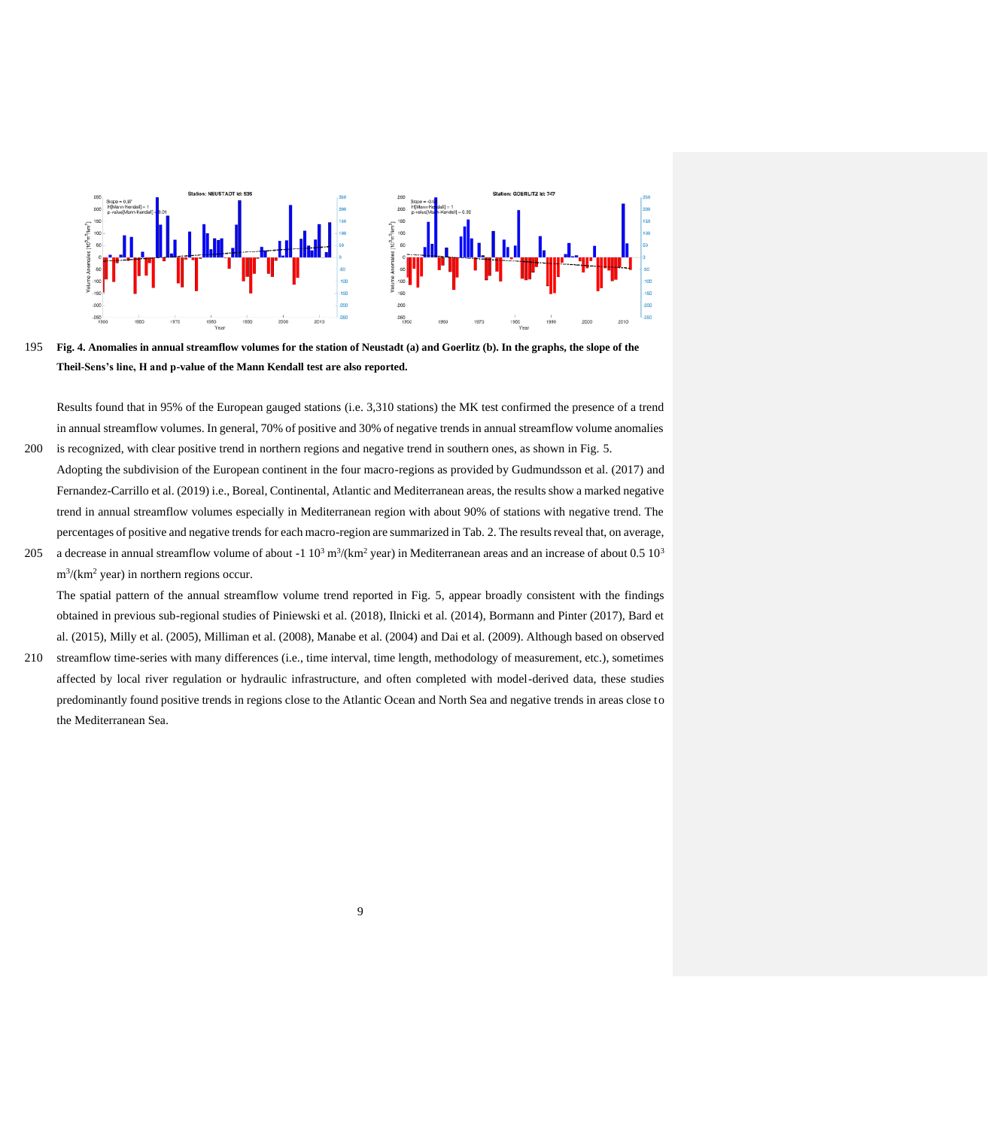

195 **Fig. 4. Anomalies in annual streamflow volumes for the station of Neustadt (a) and Goerlitz (b). In the graphs, the slope of the Theil-Sens's line, H and p-value of the Mann Kendall test are also reported.** 

Results found that in 95% of the European gauged stations (i.e. 3,310 stations) the MK test confirmed the presence of a trend in annual streamflow volumes. In general, 70% of positive and 30% of negative trends in annual streamflow volume anomalies 200 is recognized, with clear positive trend in northern regions and negative trend in southern ones, as shown in Fig. 5.

- Adopting the subdivision of the European continent in the four macro-regions as provided by Gudmundsson et al. (2017) and Fernandez-Carrillo et al. (2019) i.e., Boreal, Continental, Atlantic and Mediterranean areas, the results show a marked negative trend in annual streamflow volumes especially in Mediterranean region with about 90% of stations with negative trend. The percentages of positive and negative trends for each macro-region are summarized in Tab. 2. The results reveal that, on average,
- 205 a decrease in annual streamflow volume of about -1  $10^3$  m<sup>3</sup>/(km<sup>2</sup> year) in Mediterranean areas and an increase of about 0.5  $10^3$  $m^3/(km^2 \text{ year})$  in northern regions occur.

The spatial pattern of the annual streamflow volume trend reported in Fig. 5, appear broadly consistent with the findings obtained in previous sub-regional studies of Piniewski et al. (2018), Ilnicki et al. (2014), Bormann and Pinter (2017), Bard et al. (2015), Milly et al. (2005), Milliman et al. (2008), Manabe et al. (2004) and Dai et al. (2009). Although based on observed

210 streamflow time-series with many differences (i.e., time interval, time length, methodology of measurement, etc.), sometimes affected by local river regulation or hydraulic infrastructure, and often completed with model-derived data, these studies predominantly found positive trends in regions close to the Atlantic Ocean and North Sea and negative trends in areas close to the Mediterranean Sea.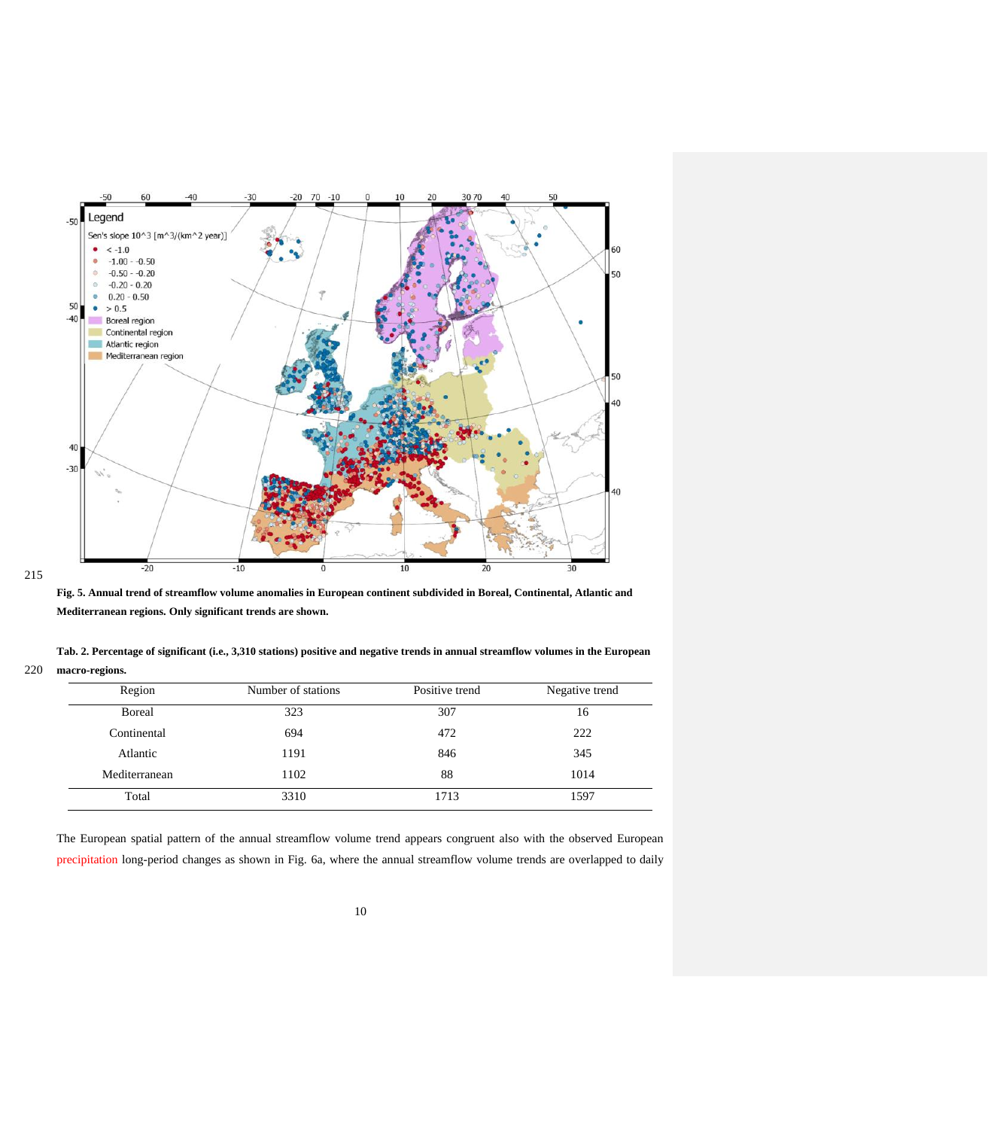

215

**Fig. 5. Annual trend of streamflow volume anomalies in European continent subdivided in Boreal, Continental, Atlantic and Mediterranean regions. Only significant trends are shown.** 

**Tab. 2. Percentage of significant (i.e., 3,310 stations) positive and negative trends in annual streamflow volumes in the European**  220 **macro-regions.**

| Region        | Number of stations | Positive trend | Negative trend |
|---------------|--------------------|----------------|----------------|
| Boreal        | 323                | 307            | 16             |
| Continental   | 694                | 472            | 222            |
| Atlantic      | 1191               | 846            | 345            |
| Mediterranean | 1102               | 88             | 1014           |
| Total         | 3310               | 1713           | 1597           |

The European spatial pattern of the annual streamflow volume trend appears congruent also with the observed European precipitation long-period changes as shown in Fig. 6a, where the annual streamflow volume trends are overlapped to daily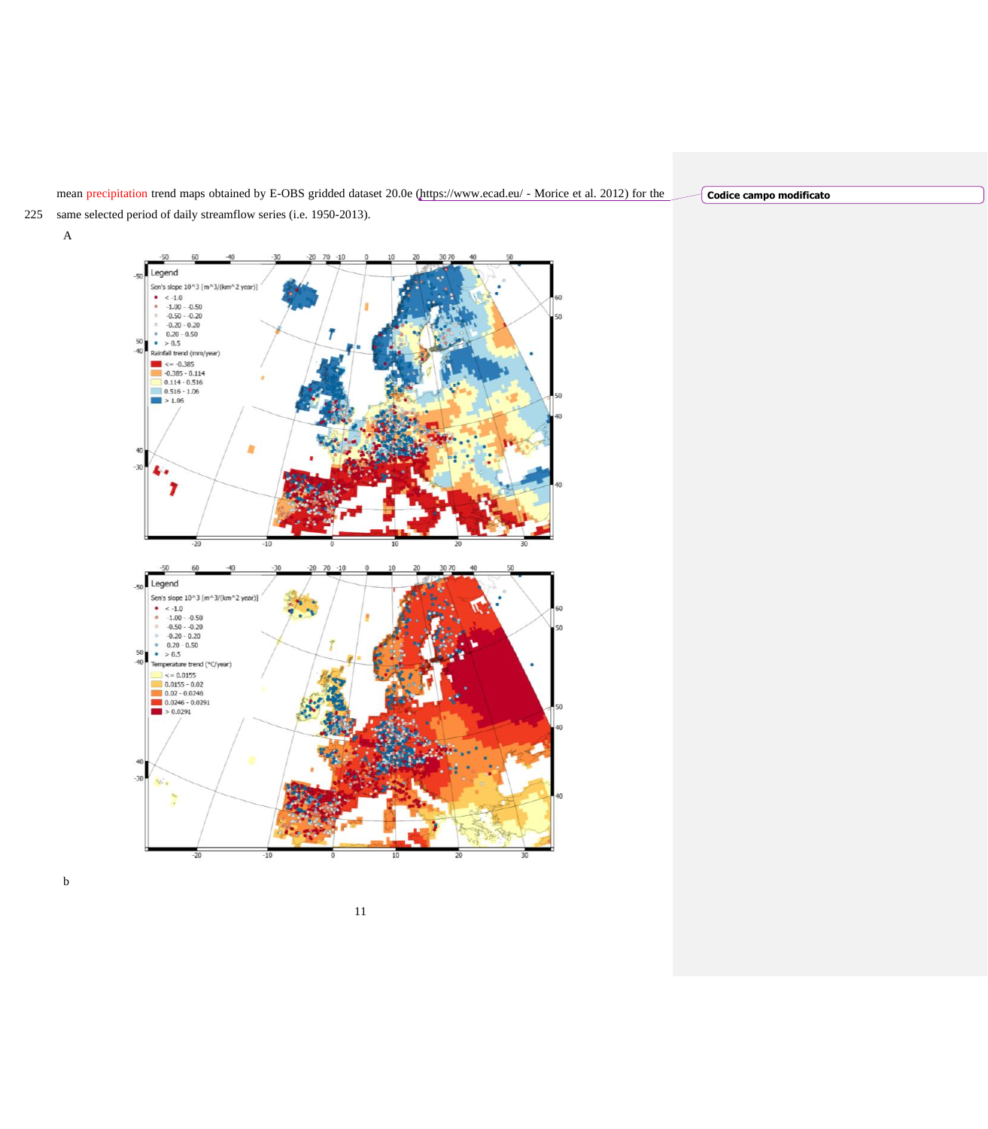mean precipitation trend maps obtained by E-OBS gridded dataset 20.0e [\(https://www.ecad.eu/](https://www.ecad.eu/) - Morice et al. 2012) for the

**Codice campo modificato**

- 225 same selected period of daily streamflow series (i.e. 1950-2013).
	- A



b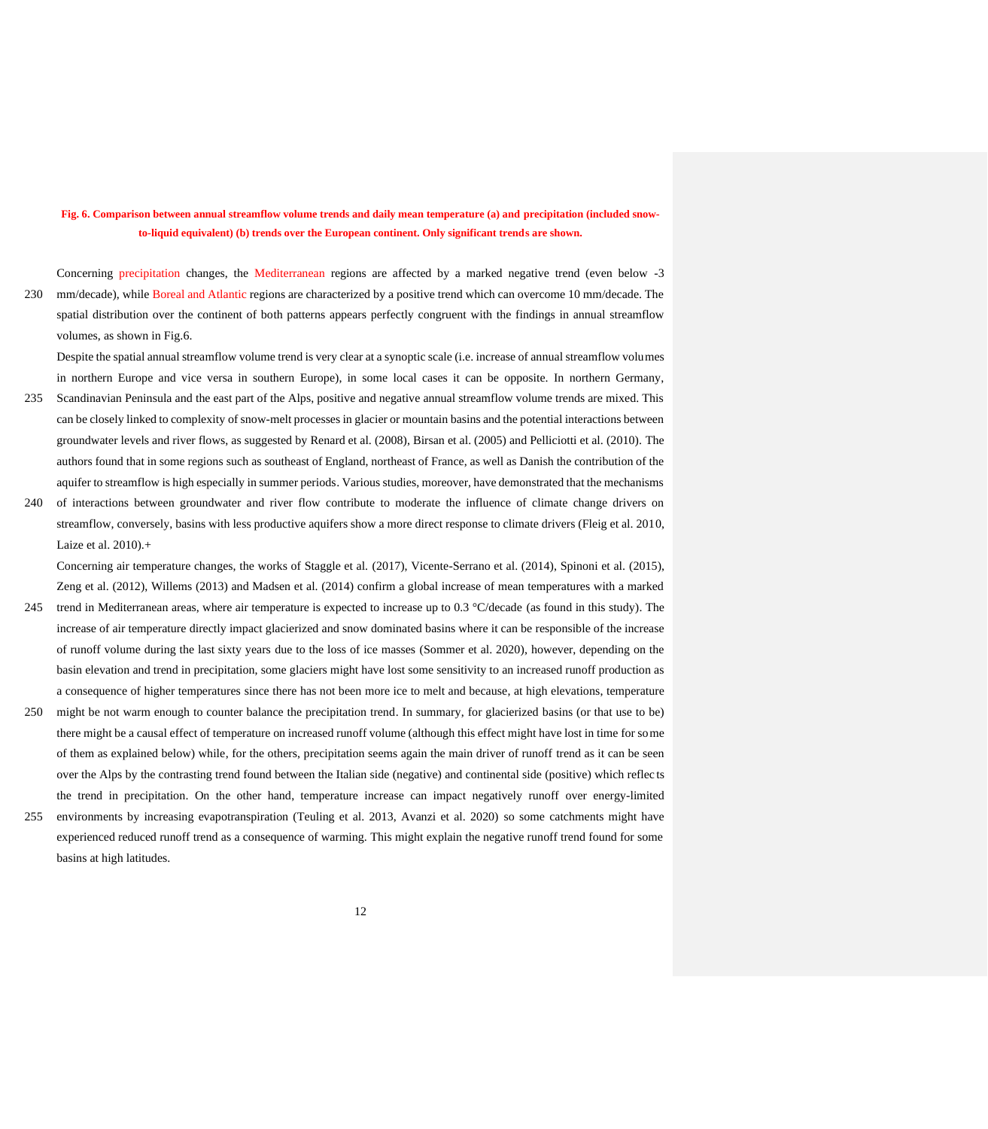# **Fig. 6. Comparison between annual streamflow volume trends and daily mean temperature (a) and precipitation (included snowto-liquid equivalent) (b) trends over the European continent. Only significant trends are shown.**

Concerning precipitation changes, the Mediterranean regions are affected by a marked negative trend (even below -3

230 mm/decade), while Boreal and Atlantic regions are characterized by a positive trend which can overcome 10 mm/decade. The spatial distribution over the continent of both patterns appears perfectly congruent with the findings in annual streamflow volumes, as shown in Fig.6.

Despite the spatial annual streamflow volume trend is very clear at a synoptic scale (i.e. increase of annual streamflow volumes in northern Europe and vice versa in southern Europe), in some local cases it can be opposite. In northern Germany,

- 235 Scandinavian Peninsula and the east part of the Alps, positive and negative annual streamflow volume trends are mixed. This can be closely linked to complexity of snow-melt processes in glacier or mountain basins and the potential interactions between groundwater levels and river flows, as suggested by Renard et al. (2008), Birsan et al. (2005) and Pelliciotti et al. (2010). The authors found that in some regions such as southeast of England, northeast of France, as well as Danish the contribution of the aquifer to streamflow is high especially in summer periods. Various studies, moreover, have demonstrated that the mechanisms
- 240 of interactions between groundwater and river flow contribute to moderate the influence of climate change drivers on streamflow, conversely, basins with less productive aquifers show a more direct response to climate drivers (Fleig et al. 2010, Laize et al. 2010).+

Concerning air temperature changes, the works of Staggle et al. (2017), Vicente-Serrano et al. (2014), Spinoni et al. (2015), Zeng et al. (2012), Willems (2013) and Madsen et al. (2014) confirm a global increase of mean temperatures with a marked

- 245 trend in Mediterranean areas, where air temperature is expected to increase up to 0.3 °C/decade (as found in this study). The increase of air temperature directly impact glacierized and snow dominated basins where it can be responsible of the increase of runoff volume during the last sixty years due to the loss of ice masses (Sommer et al. 2020), however, depending on the basin elevation and trend in precipitation, some glaciers might have lost some sensitivity to an increased runoff production as a consequence of higher temperatures since there has not been more ice to melt and because, at high elevations, temperature
- 250 might be not warm enough to counter balance the precipitation trend. In summary, for glacierized basins (or that use to be) there might be a causal effect of temperature on increased runoff volume (although this effect might have lost in time for some of them as explained below) while, for the others, precipitation seems again the main driver of runoff trend as it can be seen over the Alps by the contrasting trend found between the Italian side (negative) and continental side (positive) which reflec ts the trend in precipitation. On the other hand, temperature increase can impact negatively runoff over energy-limited
- 255 environments by increasing evapotranspiration (Teuling et al. 2013, Avanzi et al. 2020) so some catchments might have experienced reduced runoff trend as a consequence of warming. This might explain the negative runoff trend found for some basins at high latitudes.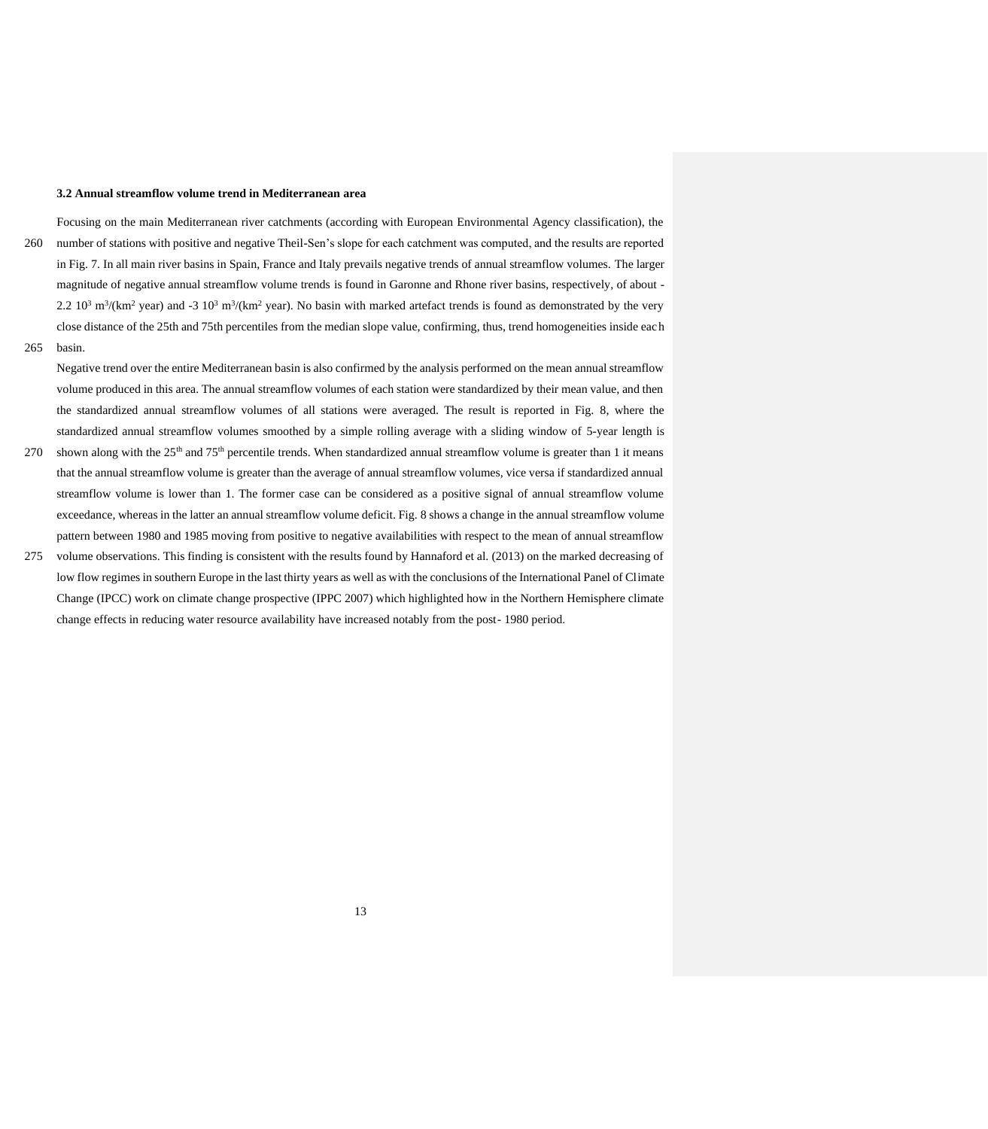# **3.2 Annual streamflow volume trend in Mediterranean area**

- Focusing on the main Mediterranean river catchments (according with European Environmental Agency classification), the 260 number of stations with positive and negative Theil-Sen's slope for each catchment was computed, and the results are reported in Fig. 7. In all main river basins in Spain, France and Italy prevails negative trends of annual streamflow volumes. The larger magnitude of negative annual streamflow volume trends is found in Garonne and Rhone river basins, respectively, of about - 2.2  $10^3$  m<sup>3</sup>/(km<sup>2</sup> year) and -3  $10^3$  m<sup>3</sup>/(km<sup>2</sup> year). No basin with marked artefact trends is found as demonstrated by the very close distance of the 25th and 75th percentiles from the median slope value, confirming, thus, trend homogeneities inside each 265 basin.
- 

Negative trend over the entire Mediterranean basin is also confirmed by the analysis performed on the mean annual streamflow volume produced in this area. The annual streamflow volumes of each station were standardized by their mean value, and then the standardized annual streamflow volumes of all stations were averaged. The result is reported in Fig. 8, where the standardized annual streamflow volumes smoothed by a simple rolling average with a sliding window of 5-year length is

- 270 shown along with the  $25<sup>th</sup>$  and 75<sup>th</sup> percentile trends. When standardized annual streamflow volume is greater than 1 it means that the annual streamflow volume is greater than the average of annual streamflow volumes, vice versa if standardized annual streamflow volume is lower than 1. The former case can be considered as a positive signal of annual streamflow volume exceedance, whereas in the latter an annual streamflow volume deficit. Fig. 8 shows a change in the annual streamflow volume pattern between 1980 and 1985 moving from positive to negative availabilities with respect to the mean of annual streamflow
- 275 volume observations. This finding is consistent with the results found by Hannaford et al. (2013) on the marked decreasing of low flow regimes in southern Europe in the last thirty years as well as with the conclusions of the International Panel of Climate Change (IPCC) work on climate change prospective (IPPC 2007) which highlighted how in the Northern Hemisphere climate change effects in reducing water resource availability have increased notably from the post- 1980 period.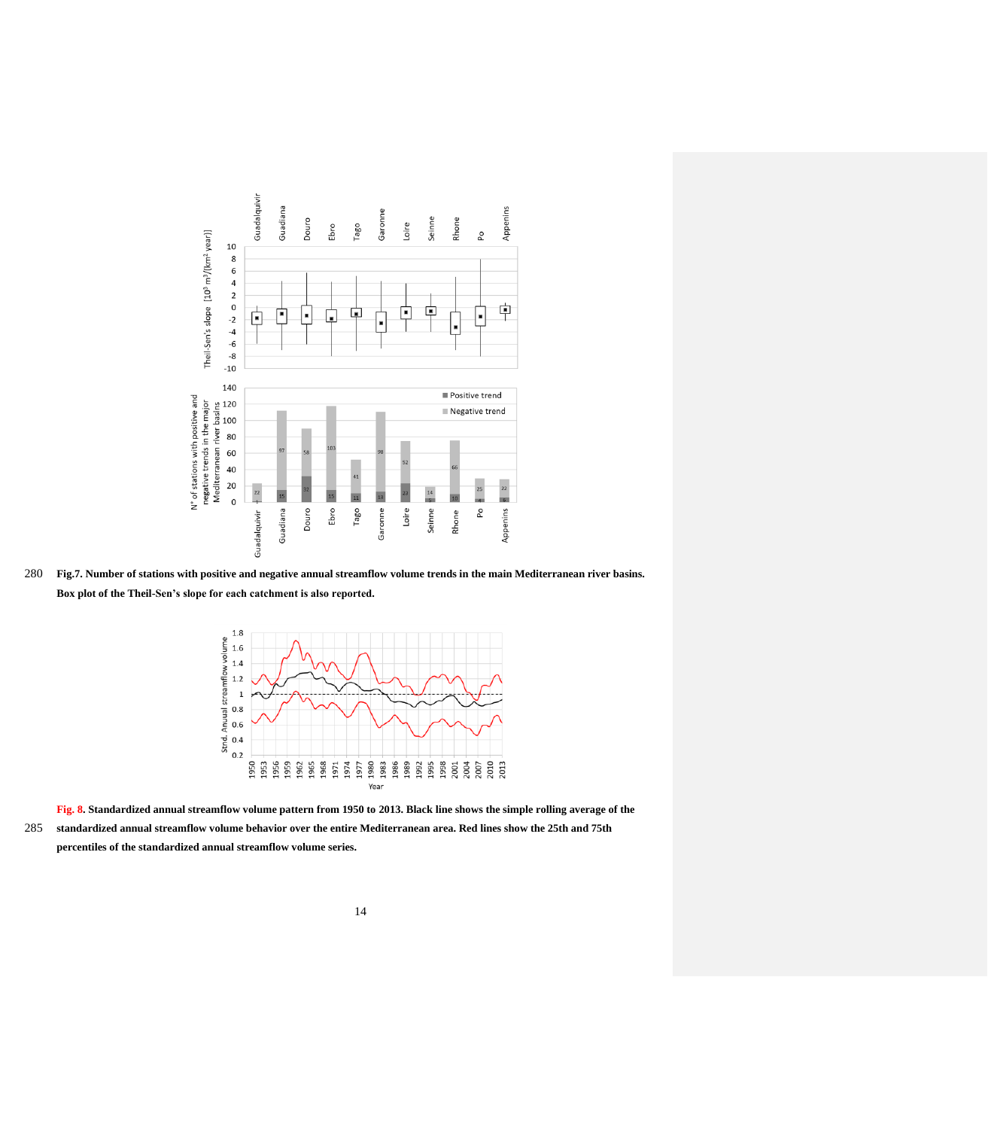

280 **Fig.7. Number of stations with positive and negative annual streamflow volume trends in the main Mediterranean river basins. Box plot of the Theil-Sen's slope for each catchment is also reported.** 



**Fig. 8. Standardized annual streamflow volume pattern from 1950 to 2013. Black line shows the simple rolling average of the**  285 **standardized annual streamflow volume behavior over the entire Mediterranean area. Red lines show the 25th and 75th percentiles of the standardized annual streamflow volume series.**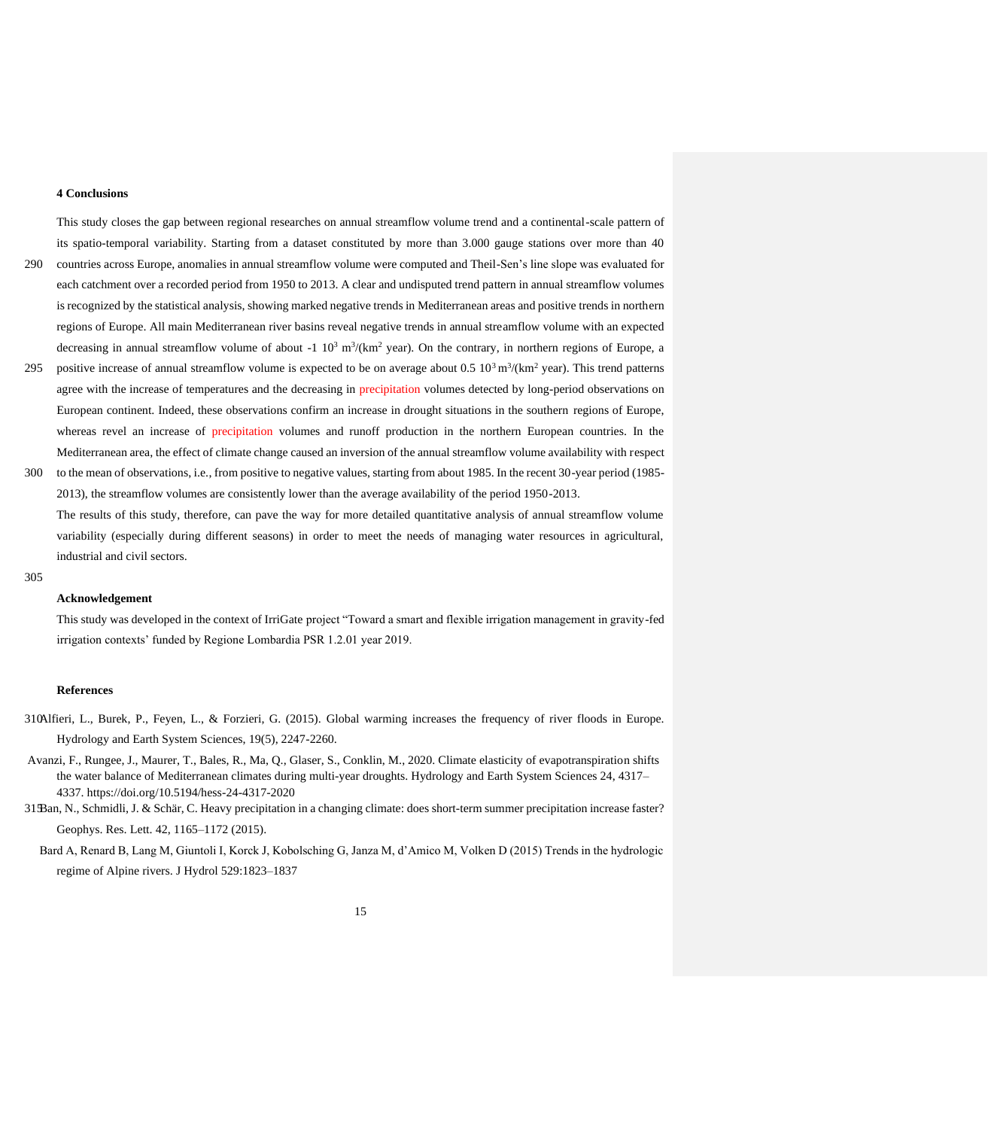# **4 Conclusions**

This study closes the gap between regional researches on annual streamflow volume trend and a continental-scale pattern of its spatio-temporal variability. Starting from a dataset constituted by more than 3.000 gauge stations over more than 40 290 countries across Europe, anomalies in annual streamflow volume were computed and Theil-Sen's line slope was evaluated for each catchment over a recorded period from 1950 to 2013. A clear and undisputed trend pattern in annual streamflow volumes is recognized by the statistical analysis, showing marked negative trends in Mediterranean areas and positive trends in northern regions of Europe. All main Mediterranean river basins reveal negative trends in annual streamflow volume with an expected decreasing in annual streamflow volume of about  $-1 \ 10^3 \ \text{m}^3/\text{(km}^2 \text{ year})$ . On the contrary, in northern regions of Europe, a

- 295 positive increase of annual streamflow volume is expected to be on average about  $0.5 \times 10^3 \text{ m}^3/\text{(km}^2 \text{ year})$ . This trend patterns agree with the increase of temperatures and the decreasing in precipitation volumes detected by long-period observations on European continent. Indeed, these observations confirm an increase in drought situations in the southern regions of Europe, whereas revel an increase of precipitation volumes and runoff production in the northern European countries. In the Mediterranean area, the effect of climate change caused an inversion of the annual streamflow volume availability with respect
- 300 to the mean of observations, i.e., from positive to negative values, starting from about 1985. In the recent 30-year period (1985- 2013), the streamflow volumes are consistently lower than the average availability of the period 1950-2013. The results of this study, therefore, can pave the way for more detailed quantitative analysis of annual streamflow volume variability (especially during different seasons) in order to meet the needs of managing water resources in agricultural, industrial and civil sectors.

#### 305

## **Acknowledgement**

This study was developed in the context of IrriGate project "Toward a smart and flexible irrigation management in gravity-fed irrigation contexts' funded by Regione Lombardia PSR 1.2.01 year 2019.

#### **References**

- 310Alfieri, L., Burek, P., Feyen, L., & Forzieri, G. (2015). Global warming increases the frequency of river floods in Europe. Hydrology and Earth System Sciences, 19(5), 2247-2260.
- Avanzi, F., Rungee, J., Maurer, T., Bales, R., Ma, Q., Glaser, S., Conklin, M., 2020. Climate elasticity of evapotranspiration shifts the water balance of Mediterranean climates during multi-year droughts. Hydrology and Earth System Sciences 24, 4317– 4337.<https://doi.org/10.5194/hess-24-4317-2020>
- 315Ban, N., Schmidli, J. & Schär, C. Heavy precipitation in a changing climate: does short-term summer precipitation increase faster? Geophys. Res. Lett. 42, 1165–1172 (2015).
	- Bard A, Renard B, Lang M, Giuntoli I, Korck J, Kobolsching G, Janza M, d'Amico M, Volken D (2015) Trends in the hydrologic regime of Alpine rivers. J Hydrol 529:1823–1837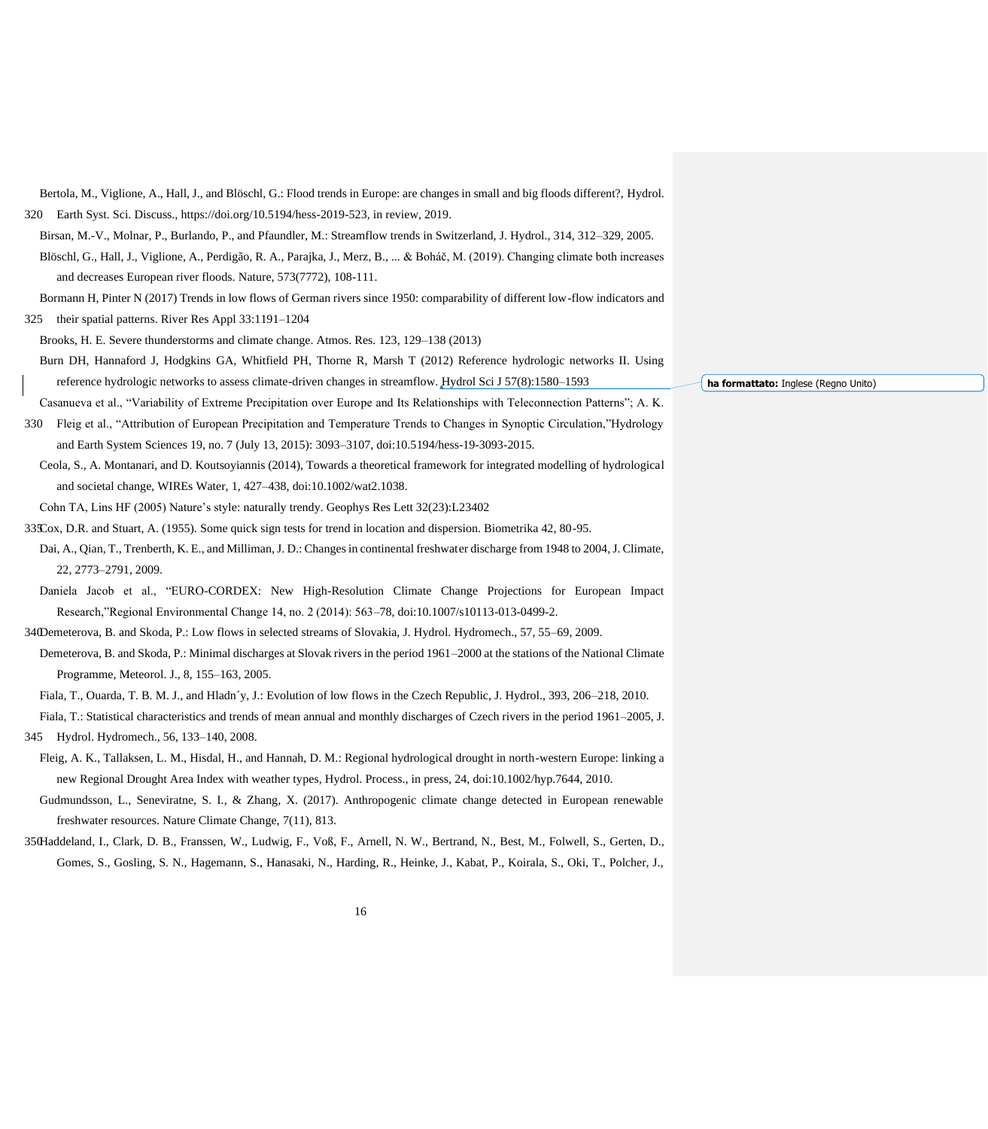Birsan, M.-V., Molnar, P., Burlando, P., and Pfaundler, M.: Streamflow trends in Switzerland, J. Hydrol., 314, 312–329, 2005. Blöschl, G., Hall, J., Viglione, A., Perdigão, R. A., Parajka, J., Merz, B., ... & Boháč, M. (2019). Changing climate both increases and decreases European river floods. Nature, 573(7772), 108-111. Bormann H, Pinter N (2017) Trends in low flows of German rivers since 1950: comparability of different low-flow indicators and 325 their spatial patterns. River Res Appl 33:1191–1204 Brooks, H. E. Severe thunderstorms and climate change. Atmos. Res. 123, 129–138 (2013) Burn DH, Hannaford J, Hodgkins GA, Whitfield PH, Thorne R, Marsh T (2012) Reference hydrologic networks II. Using reference hydrologic networks to assess climate-driven changes in streamflow. Hydrol Sci J 57(8):1580–1593 Casanueva et al., "Variability of Extreme Precipitation over Europe and Its Relationships with Teleconnection Patterns"; A. K. 330 Fleig et al., "Attribution of European Precipitation and Temperature Trends to Changes in Synoptic Circulation,"Hydrology and Earth System Sciences 19, no. 7 (July 13, 2015): 3093–3107, doi:10.5194/hess-19-3093-2015. Ceola, S., A. Montanari, and D. Koutsoyiannis (2014), Towards a theoretical framework for integrated modelling of hydrological and societal change, WIREs Water, 1, 427–438, doi:10.1002/wat2.1038. Cohn TA, Lins HF (2005) Nature's style: naturally trendy. Geophys Res Lett 32(23):L23402 335Cox, D.R. and Stuart, A. (1955). Some quick sign tests for trend in location and dispersion. Biometrika 42, 80-95. Dai, A., Qian, T., Trenberth, K. E., and Milliman, J. D.: Changes in continental freshwater discharge from 1948 to 2004, J. Climate, 22, 2773–2791, 2009. Daniela Jacob et al., "EURO-CORDEX: New High-Resolution Climate Change Projections for European Impact Research,"Regional Environmental Change 14, no. 2 (2014): 563–78, doi:10.1007/s10113-013-0499-2. 340Demeterova, B. and Skoda, P.: Low flows in selected streams of Slovakia, J. Hydrol. Hydromech., 57, 55–69, 2009. Demeterova, B. and Skoda, P.: Minimal discharges at Slovak rivers in the period 1961–2000 at the stations of the National Climate Programme, Meteorol. J., 8, 155–163, 2005.

Bertola, M., Viglione, A., Hall, J., and Blöschl, G.: Flood trends in Europe: are changes in small and big floods different?, Hydrol.

320 Earth Syst. Sci. Discuss., https://doi.org/10.5194/hess-2019-523, in review, 2019.

Fiala, T., Ouarda, T. B. M. J., and Hladn´y, J.: Evolution of low flows in the Czech Republic, J. Hydrol., 393, 206–218, 2010.

Fiala, T.: Statistical characteristics and trends of mean annual and monthly discharges of Czech rivers in the period 1961–2005, J.

- 345 Hydrol. Hydromech., 56, 133–140, 2008.
	- Fleig, A. K., Tallaksen, L. M., Hisdal, H., and Hannah, D. M.: Regional hydrological drought in north-western Europe: linking a new Regional Drought Area Index with weather types, Hydrol. Process., in press, 24, doi:10.1002/hyp.7644, 2010.
	- Gudmundsson, L., Seneviratne, S. I., & Zhang, X. (2017). Anthropogenic climate change detected in European renewable freshwater resources. Nature Climate Change, 7(11), 813.
- 350Haddeland, I., Clark, D. B., Franssen, W., Ludwig, F., Voß, F., Arnell, N. W., Bertrand, N., Best, M., Folwell, S., Gerten, D., Gomes, S., Gosling, S. N., Hagemann, S., Hanasaki, N., Harding, R., Heinke, J., Kabat, P., Koirala, S., Oki, T., Polcher, J.,

**ha formattato:** Inglese (Regno Unito)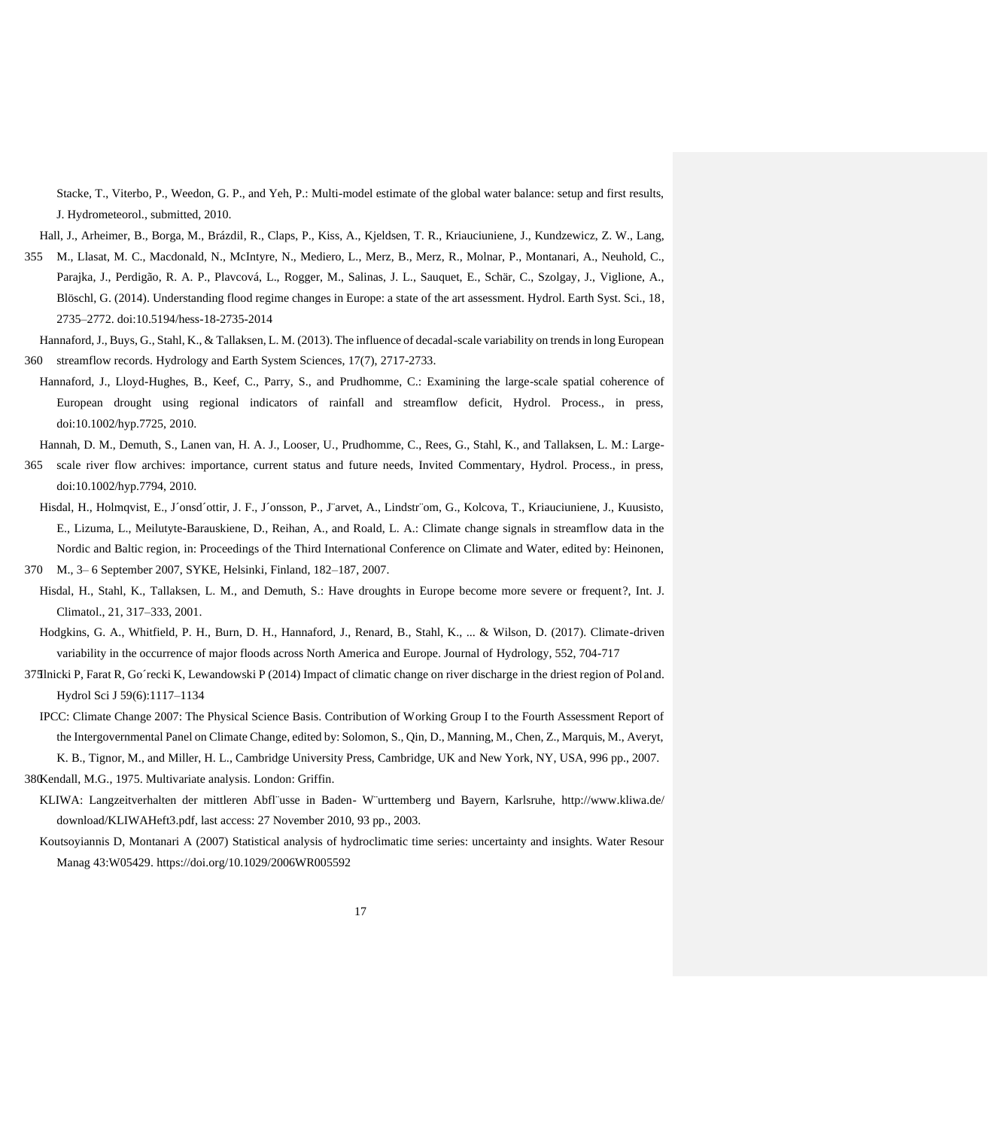Stacke, T., Viterbo, P., Weedon, G. P., and Yeh, P.: Multi-model estimate of the global water balance: setup and first results, J. Hydrometeorol., submitted, 2010.

Hall, J., Arheimer, B., Borga, M., Brázdil, R., Claps, P., Kiss, A., Kjeldsen, T. R., Kriauciuniene, J., Kundzewicz, Z. W., Lang,

- 355 M., Llasat, M. C., Macdonald, N., McIntyre, N., Mediero, L., Merz, B., Merz, R., Molnar, P., Montanari, A., Neuhold, C., Parajka, J., Perdigão, R. A. P., Plavcová, L., Rogger, M., Salinas, J. L., Sauquet, E., Schär, C., Szolgay, J., Viglione, A., Blöschl, G. (2014). Understanding flood regime changes in Europe: a state of the art assessment. Hydrol. Earth Syst. Sci., 18, 2735–2772. doi:10.5194/hess-18-2735-2014
- Hannaford, J., Buys, G., Stahl, K., & Tallaksen, L. M. (2013). The influence of decadal-scale variability on trends in long European 360 streamflow records. Hydrology and Earth System Sciences, 17(7), 2717-2733.
- Hannaford, J., Lloyd-Hughes, B., Keef, C., Parry, S., and Prudhomme, C.: Examining the large-scale spatial coherence of European drought using regional indicators of rainfall and streamflow deficit, Hydrol. Process., in press, doi:10.1002/hyp.7725, 2010.

Hannah, D. M., Demuth, S., Lanen van, H. A. J., Looser, U., Prudhomme, C., Rees, G., Stahl, K., and Tallaksen, L. M.: Large-

- 365 scale river flow archives: importance, current status and future needs, Invited Commentary, Hydrol. Process., in press, doi:10.1002/hyp.7794, 2010.
- Hisdal, H., Holmqvist, E., J´onsd´ottir, J. F., J´onsson, P., J¨arvet, A., Lindstr¨om, G., Kolcova, T., Kriauciuniene, J., Kuusisto, E., Lizuma, L., Meilutyte-Barauskiene, D., Reihan, A., and Roald, L. A.: Climate change signals in streamflow data in the Nordic and Baltic region, in: Proceedings of the Third International Conference on Climate and Water, edited by: Heinonen,

370 M., 3– 6 September 2007, SYKE, Helsinki, Finland, 182–187, 2007.

- Hisdal, H., Stahl, K., Tallaksen, L. M., and Demuth, S.: Have droughts in Europe become more severe or frequent?, Int. J. Climatol., 21, 317–333, 2001.
- Hodgkins, G. A., Whitfield, P. H., Burn, D. H., Hannaford, J., Renard, B., Stahl, K., ... & Wilson, D. (2017). Climate-driven variability in the occurrence of major floods across North America and Europe. Journal of Hydrology, 552, 704-717
- 375Ilnicki P, Farat R, Go´recki K, Lewandowski P (2014) Impact of climatic change on river discharge in the driest region of Pol and. Hydrol Sci J 59(6):1117–1134
	- IPCC: Climate Change 2007: The Physical Science Basis. Contribution of Working Group I to the Fourth Assessment Report of the Intergovernmental Panel on Climate Change, edited by: Solomon, S., Qin, D., Manning, M., Chen, Z., Marquis, M., Averyt, K. B., Tignor, M., and Miller, H. L., Cambridge University Press, Cambridge, UK and New York, NY, USA, 996 pp., 2007.

380Kendall, M.G., 1975. Multivariate analysis. London: Griffin.

- KLIWA: Langzeitverhalten der mittleren Abfl¨usse in Baden- W¨urttemberg und Bayern, Karlsruhe, <http://www.kliwa.de/> download/KLIWAHeft3.pdf, last access: 27 November 2010, 93 pp., 2003.
- Koutsoyiannis D, Montanari A (2007) Statistical analysis of hydroclimatic time series: uncertainty and insights. Water Resour Manag 43:W05429.<https://doi.org/10.1029/2006WR005592>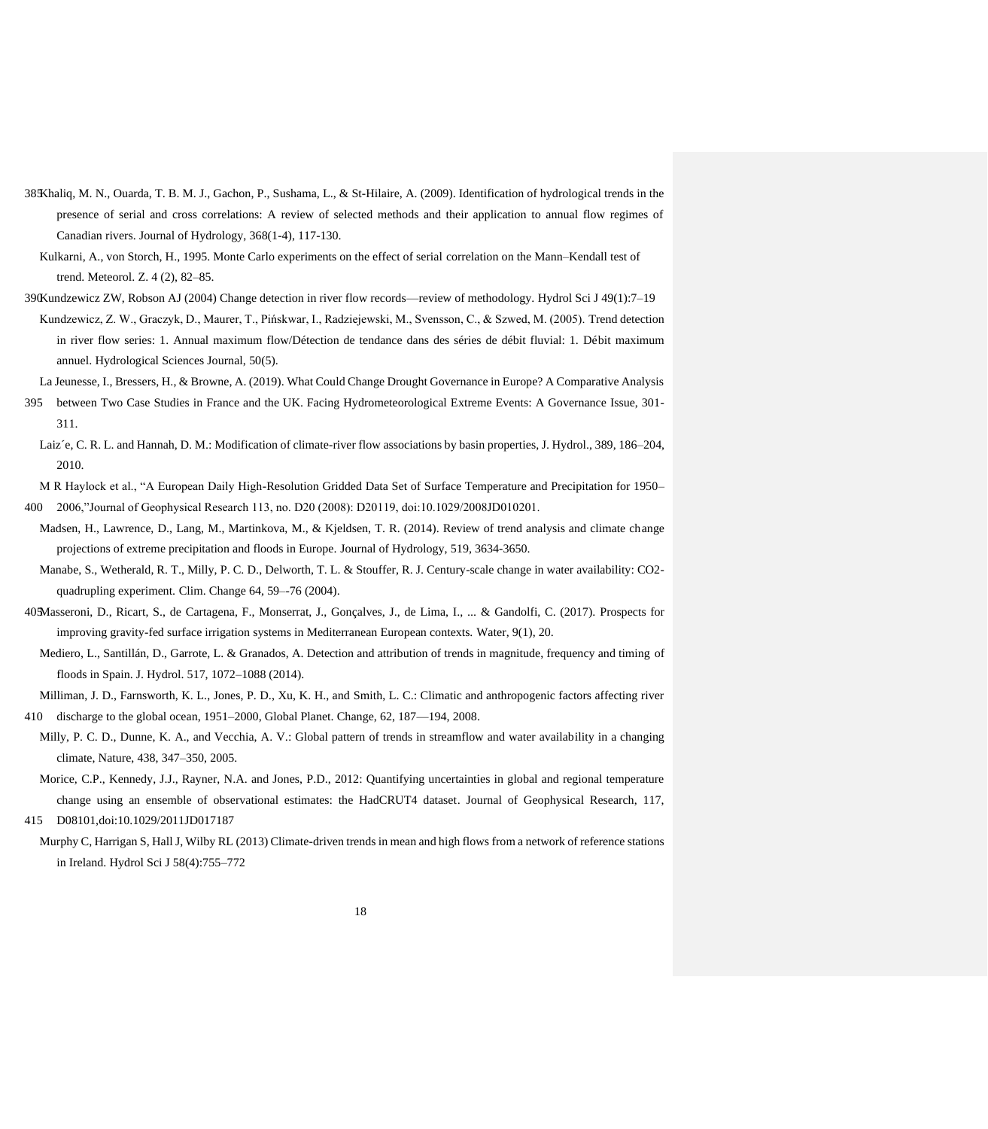- 385Khaliq, M. N., Ouarda, T. B. M. J., Gachon, P., Sushama, L., & St-Hilaire, A. (2009). Identification of hydrological trends in the presence of serial and cross correlations: A review of selected methods and their application to annual flow regimes of Canadian rivers. Journal of Hydrology, 368(1-4), 117-130.
- Kulkarni, A., von Storch, H., 1995. Monte Carlo experiments on the effect of serial correlation on the Mann–Kendall test of trend. Meteorol. Z. 4 (2), 82–85.
- 390Kundzewicz ZW, Robson AJ (2004) Change detection in river flow records—review of methodology. Hydrol Sci J 49(1):7–19 Kundzewicz, Z. W., Graczyk, D., Maurer, T., Pińskwar, I., Radziejewski, M., Svensson, C., & Szwed, M. (2005). Trend detection in river flow series: 1. Annual maximum flow/Détection de tendance dans des séries de débit fluvial: 1. Débit maximum annuel. Hydrological Sciences Journal, 50(5).

La Jeunesse, I., Bressers, H., & Browne, A. (2019). What Could Change Drought Governance in Europe? A Comparative Analysis

- 395 between Two Case Studies in France and the UK. Facing Hydrometeorological Extreme Events: A Governance Issue, 301- 311.
- Laiz´e, C. R. L. and Hannah, D. M.: Modification of climate-river flow associations by basin properties, J. Hydrol., 389, 186–204, 2010.
- M R Haylock et al., "A European Daily High-Resolution Gridded Data Set of Surface Temperature and Precipitation for 1950– 400 2006,"Journal of Geophysical Research 113, no. D20 (2008): D20119, doi:10.1029/2008JD010201.
- Madsen, H., Lawrence, D., Lang, M., Martinkova, M., & Kjeldsen, T. R. (2014). Review of trend analysis and climate change projections of extreme precipitation and floods in Europe. Journal of Hydrology, 519, 3634-3650.
- Manabe, S., Wetherald, R. T., Milly, P. C. D., Delworth, T. L. & Stouffer, R. J. Century-scale change in water availability: CO2 quadrupling experiment. Clim. Change 64, 59–-76 (2004).
- 405Masseroni, D., Ricart, S., de Cartagena, F., Monserrat, J., Gonçalves, J., de Lima, I., ... & Gandolfi, C. (2017). Prospects for improving gravity-fed surface irrigation systems in Mediterranean European contexts. Water, 9(1), 20.
	- Mediero, L., Santillán, D., Garrote, L. & Granados, A. Detection and attribution of trends in magnitude, frequency and timing of floods in Spain. J. Hydrol. 517, 1072–1088 (2014).

Milliman, J. D., Farnsworth, K. L., Jones, P. D., Xu, K. H., and Smith, L. C.: Climatic and anthropogenic factors affecting river 410 discharge to the global ocean, 1951–2000, Global Planet. Change, 62, 187—194, 2008.

- Milly, P. C. D., Dunne, K. A., and Vecchia, A. V.: Global pattern of trends in streamflow and water availability in a changing climate, Nature, 438, 347–350, 2005.
- Morice, C.P., Kennedy, J.J., Rayner, N.A. and Jones, P.D., 2012: Quantifying uncertainties in global and regional temperature change using an ensemble of observational estimates: the HadCRUT4 dataset. Journal of Geophysical Research, 117, 415 D08101[,doi:10.1029/2011JD017187](http://onlinelibrary.wiley.com/doi/10.1029/2011JD017187/abstract)
- Murphy C, Harrigan S, Hall J, Wilby RL (2013) Climate-driven trends in mean and high flows from a network of reference stations in Ireland. Hydrol Sci J 58(4):755–772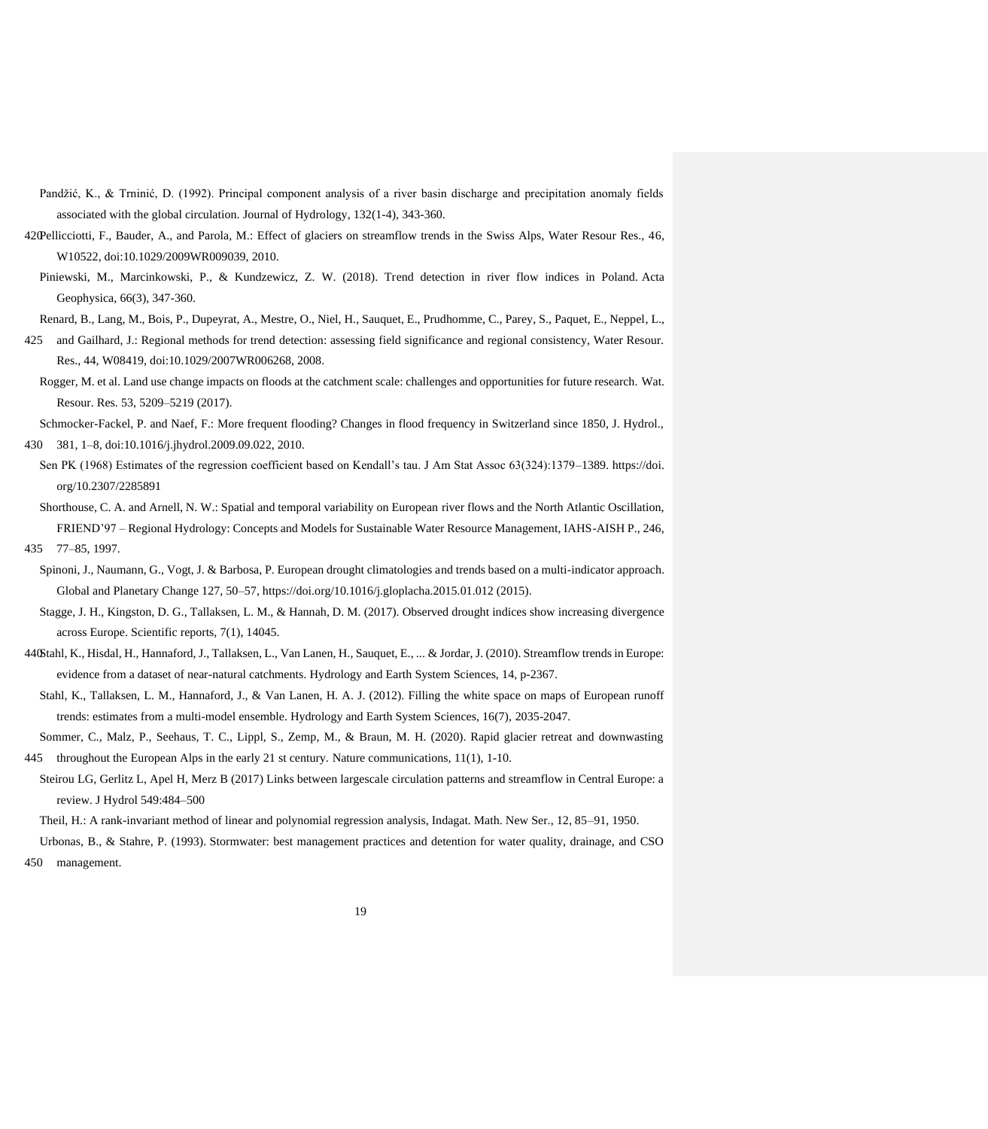- Pandžić, K., & Trninić, D. (1992). Principal component analysis of a river basin discharge and precipitation anomaly fields associated with the global circulation. Journal of Hydrology, 132(1-4), 343-360.
- 420Pellicciotti, F., Bauder, A., and Parola, M.: Effect of glaciers on streamflow trends in the Swiss Alps, Water Resour Res., 46, W10522, doi:10.1029/2009WR009039, 2010.
	- Piniewski, M., Marcinkowski, P., & Kundzewicz, Z. W. (2018). Trend detection in river flow indices in Poland. Acta Geophysica, 66(3), 347-360.

Renard, B., Lang, M., Bois, P., Dupeyrat, A., Mestre, O., Niel, H., Sauquet, E., Prudhomme, C., Parey, S., Paquet, E., Neppel, L.,

- 425 and Gailhard, J.: Regional methods for trend detection: assessing field significance and regional consistency, Water Resour. Res., 44, W08419, doi:10.1029/2007WR006268, 2008.
	- Rogger, M. et al. Land use change impacts on floods at the catchment scale: challenges and opportunities for future research. Wat. Resour. Res. 53, 5209–5219 (2017).

Schmocker-Fackel, P. and Naef, F.: More frequent flooding? Changes in flood frequency in Switzerland since 1850, J. Hydrol., 430 381, 1–8, doi:10.1016/j.jhydrol.2009.09.022, 2010.

- Sen PK (1968) Estimates of the regression coefficient based on Kendall's tau. J Am Stat Assoc 63(324):1379–1389. [https://doi.](https://doi/) org/10.2307/2285891
- Shorthouse, C. A. and Arnell, N. W.: Spatial and temporal variability on European river flows and the North Atlantic Oscillation, FRIEND'97 – Regional Hydrology: Concepts and Models for Sustainable Water Resource Management, IAHS-AISH P., 246, 435 77–85, 1997.
- Spinoni, J., Naumann, G., Vogt, J. & Barbosa, P. European drought climatologies and trends based on a multi-indicator approach. Global and Planetary Change 127, 50–57, https://doi.org/10.1016/j.gloplacha.2015.01.012 (2015).
- Stagge, J. H., Kingston, D. G., Tallaksen, L. M., & Hannah, D. M. (2017). Observed drought indices show increasing divergence across Europe. Scientific reports, 7(1), 14045.
- 440Stahl, K., Hisdal, H., Hannaford, J., Tallaksen, L., Van Lanen, H., Sauquet, E., ... & Jordar, J. (2010). Streamflow trends in Europe: evidence from a dataset of near-natural catchments. Hydrology and Earth System Sciences, 14, p-2367.
- Stahl, K., Tallaksen, L. M., Hannaford, J., & Van Lanen, H. A. J. (2012). Filling the white space on maps of European runoff trends: estimates from a multi-model ensemble. Hydrology and Earth System Sciences, 16(7), 2035-2047.
- Sommer, C., Malz, P., Seehaus, T. C., Lippl, S., Zemp, M., & Braun, M. H. (2020). Rapid glacier retreat and downwasting 445 throughout the European Alps in the early 21 st century. Nature communications, 11(1), 1-10.
- Steirou LG, Gerlitz L, Apel H, Merz B (2017) Links between largescale circulation patterns and streamflow in Central Europe: a review. J Hydrol 549:484–500

Theil, H.: A rank-invariant method of linear and polynomial regression analysis, Indagat. Math. New Ser., 12, 85–91, 1950.

Urbonas, B., & Stahre, P. (1993). Stormwater: best management practices and detention for water quality, drainage, and CSO 450 management.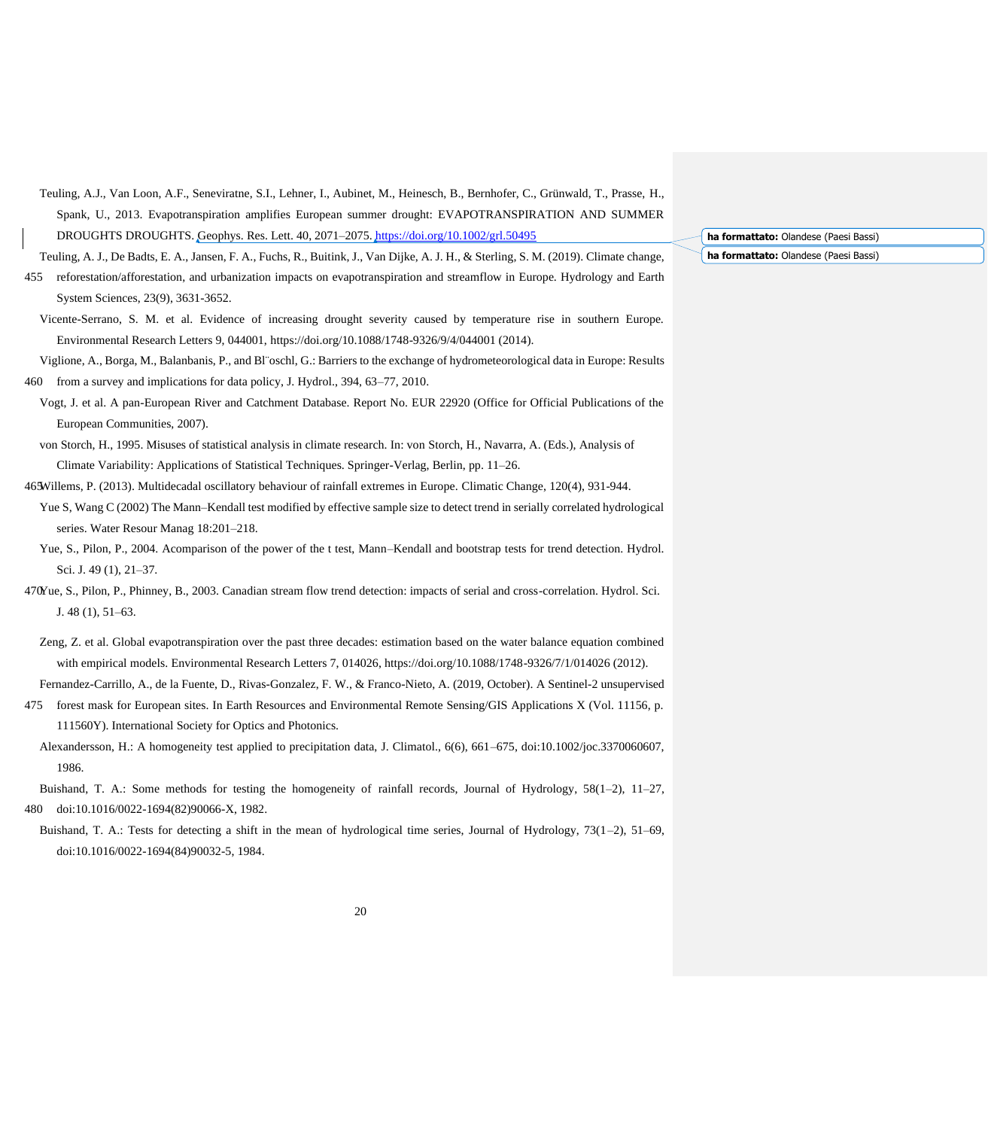- Teuling, A.J., Van Loon, A.F., Seneviratne, S.I., Lehner, I., Aubinet, M., Heinesch, B., Bernhofer, C., Grünwald, T., Prasse, H., Spank, U., 2013. Evapotranspiration amplifies European summer drought: EVAPOTRANSPIRATION AND SUMMER DROUGHTS DROUGHTS. Geophys. Res. Lett. 40, 2071–2075.<https://doi.org/10.1002/grl.50495>
- Teuling, A. J., De Badts, E. A., Jansen, F. A., Fuchs, R., Buitink, J., Van Dijke, A. J. H., & Sterling, S. M. (2019). Climate change,
- 455 reforestation/afforestation, and urbanization impacts on evapotranspiration and streamflow in Europe. Hydrology and Earth System Sciences, 23(9), 3631-3652.
- Vicente-Serrano, S. M. et al. Evidence of increasing drought severity caused by temperature rise in southern Europe. Environmental Research Letters 9, 044001, https://doi.org/10.1088/1748-9326/9/4/044001 (2014).
- Viglione, A., Borga, M., Balanbanis, P., and Bl¨oschl, G.: Barriers to the exchange of hydrometeorological data in Europe: Results 460 from a survey and implications for data policy, J. Hydrol., 394, 63–77, 2010.
- Vogt, J. et al. A pan-European River and Catchment Database. Report No. EUR 22920 (Office for Official Publications of the European Communities, 2007).
- von Storch, H., 1995. Misuses of statistical analysis in climate research. In: von Storch, H., Navarra, A. (Eds.), Analysis of Climate Variability: Applications of Statistical Techniques. Springer-Verlag, Berlin, pp. 11–26.
- 465Willems, P. (2013). Multidecadal oscillatory behaviour of rainfall extremes in Europe. Climatic Change, 120(4), 931-944.
- Yue S, Wang C (2002) The Mann–Kendall test modified by effective sample size to detect trend in serially correlated hydrological series. Water Resour Manag 18:201–218.
- Yue, S., Pilon, P., 2004. Acomparison of the power of the t test, Mann–Kendall and bootstrap tests for trend detection. Hydrol. Sci. J. 49 (1), 21–37.
- 470Yue, S., Pilon, P., Phinney, B., 2003. Canadian stream flow trend detection: impacts of serial and cross-correlation. Hydrol. Sci. J. 48 (1), 51–63.
	- Zeng, Z. et al. Global evapotranspiration over the past three decades: estimation based on the water balance equation combined with empirical models. Environmental Research Letters 7, 014026, https://doi.org/10.1088/1748-9326/7/1/014026 (2012).
- Fernandez-Carrillo, A., de la Fuente, D., Rivas-Gonzalez, F. W., & Franco-Nieto, A. (2019, October). A Sentinel-2 unsupervised
- 475 forest mask for European sites. In Earth Resources and Environmental Remote Sensing/GIS Applications X (Vol. 11156, p. 111560Y). International Society for Optics and Photonics.
- Alexandersson, H.: A homogeneity test applied to precipitation data, J. Climatol., 6(6), 661–675, doi:10.1002/joc.3370060607, 1986.
- Buishand, T. A.: Some methods for testing the homogeneity of rainfall records, Journal of Hydrology, 58(1–2), 11–27, 480 doi:10.1016/0022-1694(82)90066-X, 1982.
- Buishand, T. A.: Tests for detecting a shift in the mean of hydrological time series, Journal of Hydrology, 73(1–2), 51–69, doi:10.1016/0022-1694(84)90032-5, 1984.

**ha formattato:** Olandese (Paesi Bassi) **ha formattato:** Olandese (Paesi Bassi)